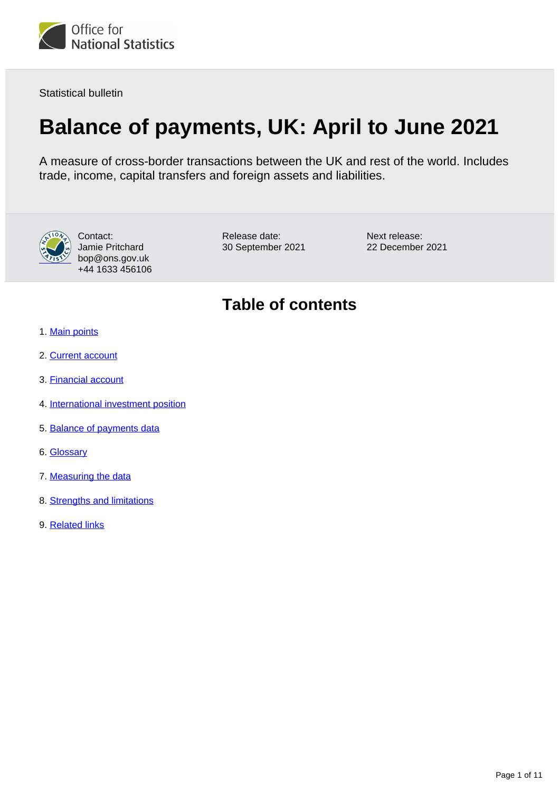

Statistical bulletin

# **Balance of payments, UK: April to June 2021**

A measure of cross-border transactions between the UK and rest of the world. Includes trade, income, capital transfers and foreign assets and liabilities.



Contact: Jamie Pritchard bop@ons.gov.uk +44 1633 456106

Release date: 30 September 2021 Next release: 22 December 2021

## **Table of contents**

- 1. [Main points](#page-1-0)
- 2. [Current account](#page-2-0)
- 3. [Financial account](#page-6-0)
- 4. [International investment position](#page-7-0)
- 5. [Balance of payments data](#page-8-0)
- 6. [Glossary](#page-8-1)
- 7. [Measuring the data](#page-9-0)
- 8. [Strengths and limitations](#page-10-0)
- 9. [Related links](#page-10-1)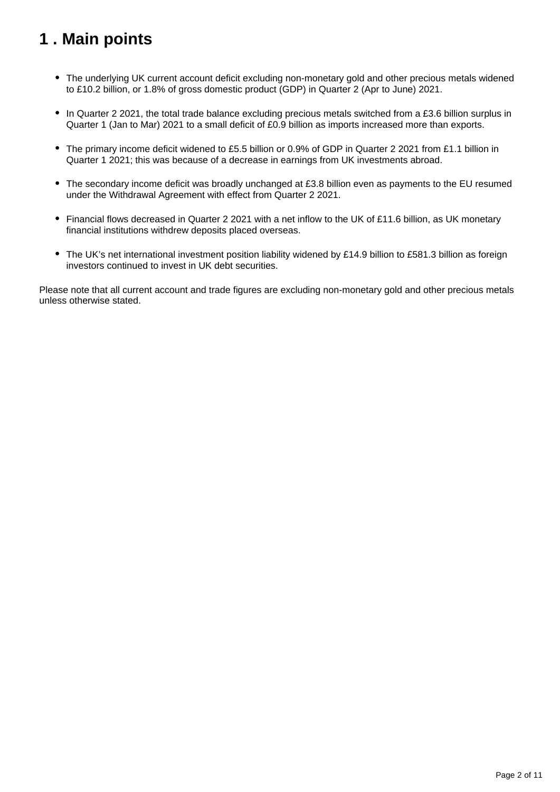# <span id="page-1-0"></span>**1 . Main points**

- The underlying UK current account deficit excluding non-monetary gold and other precious metals widened to £10.2 billion, or 1.8% of gross domestic product (GDP) in Quarter 2 (Apr to June) 2021.
- In Quarter 2 2021, the total trade balance excluding precious metals switched from a £3.6 billion surplus in Quarter 1 (Jan to Mar) 2021 to a small deficit of £0.9 billion as imports increased more than exports.
- The primary income deficit widened to £5.5 billion or 0.9% of GDP in Quarter 2 2021 from £1.1 billion in Quarter 1 2021; this was because of a decrease in earnings from UK investments abroad.
- The secondary income deficit was broadly unchanged at £3.8 billion even as payments to the EU resumed under the Withdrawal Agreement with effect from Quarter 2 2021.
- Financial flows decreased in Quarter 2 2021 with a net inflow to the UK of £11.6 billion, as UK monetary financial institutions withdrew deposits placed overseas.
- The UK's net international investment position liability widened by £14.9 billion to £581.3 billion as foreign investors continued to invest in UK debt securities.

Please note that all current account and trade figures are excluding non-monetary gold and other precious metals unless otherwise stated.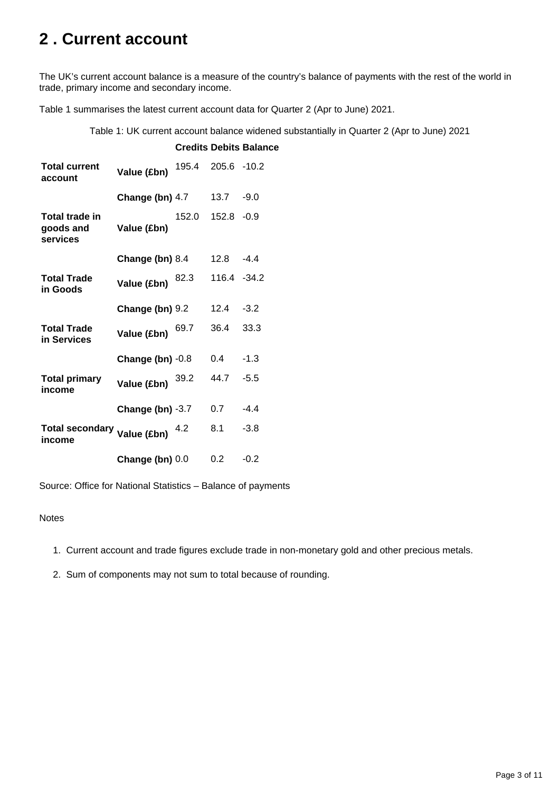## <span id="page-2-0"></span>**2 . Current account**

The UK's current account balance is a measure of the country's balance of payments with the rest of the world in trade, primary income and secondary income.

Table 1 summarises the latest current account data for Quarter 2 (Apr to June) 2021.

Table 1: UK current account balance widened substantially in Quarter 2 (Apr to June) 2021

| <b>Total current</b><br>account         | Value (£bn)        | 195.4 205.6 -10.2 |               |        |
|-----------------------------------------|--------------------|-------------------|---------------|--------|
|                                         | Change (bn) 4.7    |                   | 13.7 -9.0     |        |
| Total trade in<br>goods and<br>services | Value (£bn)        | 152.0             | $152.8 - 0.9$ |        |
|                                         | Change (bn) 8.4    |                   | 12.8          | $-4.4$ |
| <b>Total Trade</b><br>in Goods          | Value (£bn)        | 82.3              | 116.4 -34.2   |        |
|                                         | Change (bn) 9.2    |                   | 12.4          | $-3.2$ |
| <b>Total Trade</b><br>in Services       | Value (£bn)        | 69.7              | 36.4          | 33.3   |
|                                         | Change (bn) $-0.8$ |                   | 0.4           | $-1.3$ |
| <b>Total primary</b><br>income          | Value (£bn)        | 39.2              | 44.7          | $-5.5$ |
|                                         | Change (bn) $-3.7$ |                   | 0.7           | $-4.4$ |
| Total secondary Value (£bn)<br>income   |                    |                   | 8.1           | $-3.8$ |
|                                         | Change (bn) $0.0$  |                   | 0.2           | $-0.2$ |

#### **Credits Debits Balance**

Source: Office for National Statistics – Balance of payments

#### **Notes**

1. Current account and trade figures exclude trade in non-monetary gold and other precious metals.

2. Sum of components may not sum to total because of rounding.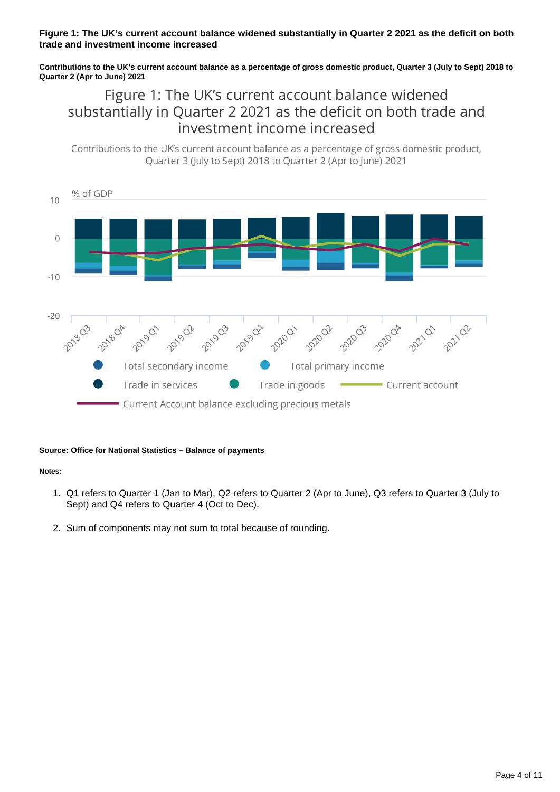### **Figure 1: The UK's current account balance widened substantially in Quarter 2 2021 as the deficit on both trade and investment income increased**

**Contributions to the UK's current account balance as a percentage of gross domestic product, Quarter 3 (July to Sept) 2018 to Quarter 2 (Apr to June) 2021**

## Figure 1: The UK's current account balance widened substantially in Quarter 2 2021 as the deficit on both trade and investment income increased

Contributions to the UK's current account balance as a percentage of gross domestic product, Ouarter 3 (July to Sept) 2018 to Ouarter 2 (Apr to June) 2021



#### **Source: Office for National Statistics – Balance of payments**

#### **Notes:**

- 1. Q1 refers to Quarter 1 (Jan to Mar), Q2 refers to Quarter 2 (Apr to June), Q3 refers to Quarter 3 (July to Sept) and Q4 refers to Quarter 4 (Oct to Dec).
- 2. Sum of components may not sum to total because of rounding.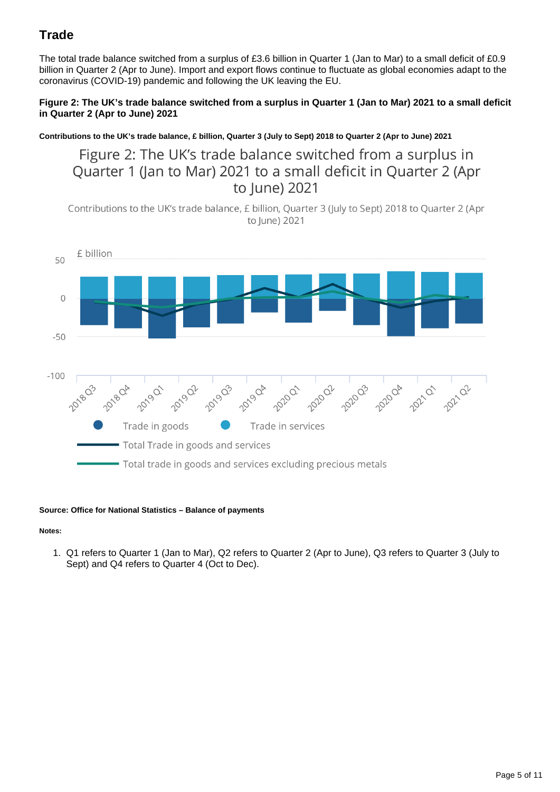## **Trade**

The total trade balance switched from a surplus of £3.6 billion in Quarter 1 (Jan to Mar) to a small deficit of £0.9 billion in Quarter 2 (Apr to June). Import and export flows continue to fluctuate as global economies adapt to the coronavirus (COVID-19) pandemic and following the UK leaving the EU.

### **Figure 2: The UK's trade balance switched from a surplus in Quarter 1 (Jan to Mar) 2021 to a small deficit in Quarter 2 (Apr to June) 2021**

**Contributions to the UK's trade balance, £ billion, Quarter 3 (July to Sept) 2018 to Quarter 2 (Apr to June) 2021**

Figure 2: The UK's trade balance switched from a surplus in Quarter 1 (Jan to Mar) 2021 to a small deficit in Quarter 2 (Apr to June) 2021

Contributions to the UK's trade balance, £ billion, Quarter 3 (July to Sept) 2018 to Quarter 2 (Apr to June) 2021



#### **Source: Office for National Statistics – Balance of payments**

**Notes:**

1. Q1 refers to Quarter 1 (Jan to Mar), Q2 refers to Quarter 2 (Apr to June), Q3 refers to Quarter 3 (July to Sept) and Q4 refers to Quarter 4 (Oct to Dec).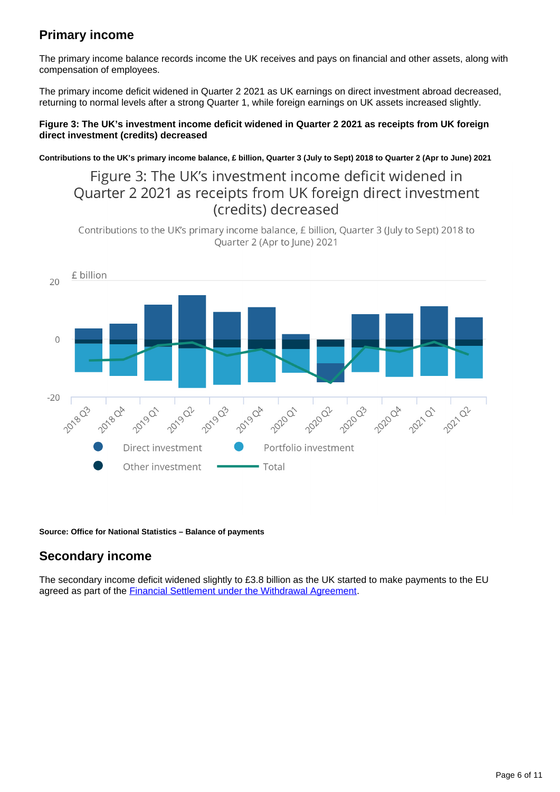## **Primary income**

The primary income balance records income the UK receives and pays on financial and other assets, along with compensation of employees.

The primary income deficit widened in Quarter 2 2021 as UK earnings on direct investment abroad decreased, returning to normal levels after a strong Quarter 1, while foreign earnings on UK assets increased slightly.

### **Figure 3: The UK's investment income deficit widened in Quarter 2 2021 as receipts from UK foreign direct investment (credits) decreased**

**Contributions to the UK's primary income balance, £ billion, Quarter 3 (July to Sept) 2018 to Quarter 2 (Apr to June) 2021**

## Figure 3: The UK's investment income deficit widened in Quarter 2 2021 as receipts from UK foreign direct investment (credits) decreased

Contributions to the UK's primary income balance, £ billion, Quarter 3 (July to Sept) 2018 to Quarter 2 (Apr to June) 2021



**Source: Office for National Statistics – Balance of payments**

## **Secondary income**

The secondary income deficit widened slightly to £3.8 billion as the UK started to make payments to the EU agreed as part of the [Financial Settlement under the Withdrawal Agreement](https://commonslibrary.parliament.uk/research-briefings/cbp-8039/).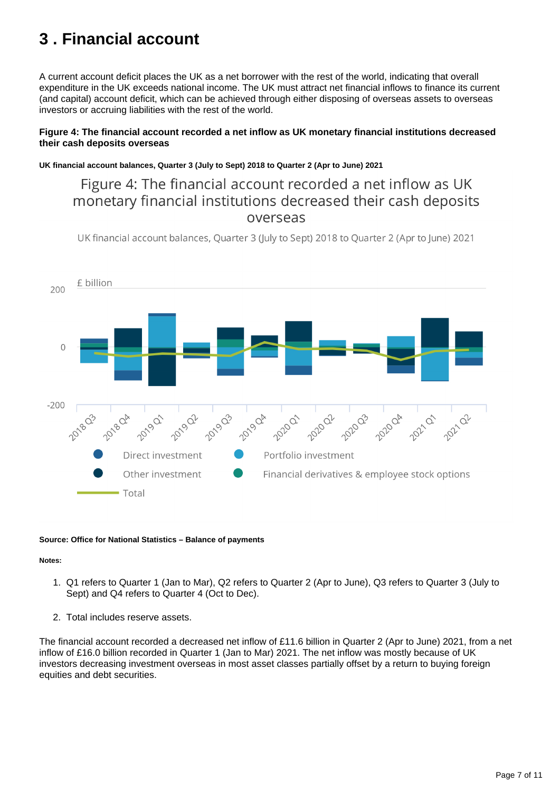## <span id="page-6-0"></span>**3 . Financial account**

A current account deficit places the UK as a net borrower with the rest of the world, indicating that overall expenditure in the UK exceeds national income. The UK must attract net financial inflows to finance its current (and capital) account deficit, which can be achieved through either disposing of overseas assets to overseas investors or accruing liabilities with the rest of the world.

### **Figure 4: The financial account recorded a net inflow as UK monetary financial institutions decreased their cash deposits overseas**

### **UK financial account balances, Quarter 3 (July to Sept) 2018 to Quarter 2 (Apr to June) 2021**

Figure 4: The financial account recorded a net inflow as UK monetary financial institutions decreased their cash deposits overseas

UK financial account balances, Quarter 3 (July to Sept) 2018 to Quarter 2 (Apr to June) 2021



#### **Source: Office for National Statistics – Balance of payments**

#### **Notes:**

- 1. Q1 refers to Quarter 1 (Jan to Mar), Q2 refers to Quarter 2 (Apr to June), Q3 refers to Quarter 3 (July to Sept) and Q4 refers to Quarter 4 (Oct to Dec).
- 2. Total includes reserve assets.

The financial account recorded a decreased net inflow of £11.6 billion in Quarter 2 (Apr to June) 2021, from a net inflow of £16.0 billion recorded in Quarter 1 (Jan to Mar) 2021. The net inflow was mostly because of UK investors decreasing investment overseas in most asset classes partially offset by a return to buying foreign equities and debt securities.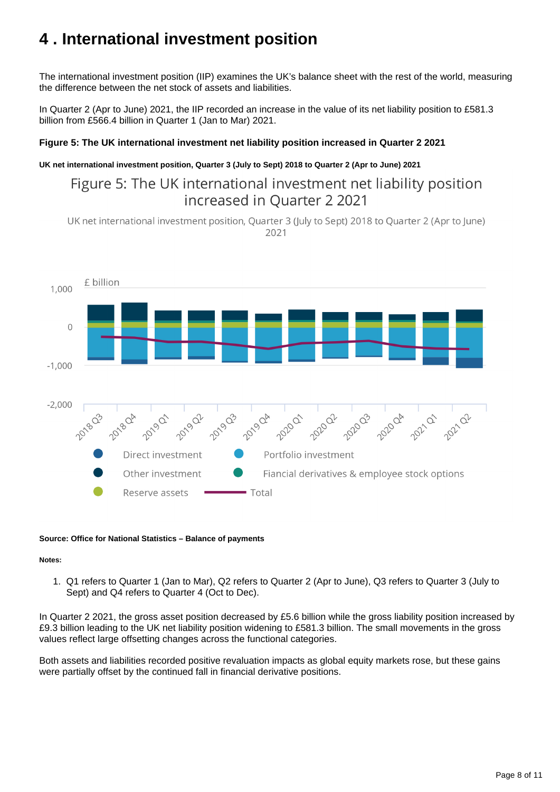## <span id="page-7-0"></span>**4 . International investment position**

The international investment position (IIP) examines the UK's balance sheet with the rest of the world, measuring the difference between the net stock of assets and liabilities.

In Quarter 2 (Apr to June) 2021, the IIP recorded an increase in the value of its net liability position to £581.3 billion from £566.4 billion in Quarter 1 (Jan to Mar) 2021.

### **Figure 5: The UK international investment net liability position increased in Quarter 2 2021**

### **UK net international investment position, Quarter 3 (July to Sept) 2018 to Quarter 2 (Apr to June) 2021**

Figure 5: The UK international investment net liability position increased in Quarter 2 2021

UK net international investment position, Quarter 3 (July to Sept) 2018 to Quarter 2 (Apr to June) 2021



#### **Source: Office for National Statistics – Balance of payments**

**Notes:**

1. Q1 refers to Quarter 1 (Jan to Mar), Q2 refers to Quarter 2 (Apr to June), Q3 refers to Quarter 3 (July to Sept) and Q4 refers to Quarter 4 (Oct to Dec).

In Quarter 2 2021, the gross asset position decreased by £5.6 billion while the gross liability position increased by £9.3 billion leading to the UK net liability position widening to £581.3 billion. The small movements in the gross values reflect large offsetting changes across the functional categories.

Both assets and liabilities recorded positive revaluation impacts as global equity markets rose, but these gains were partially offset by the continued fall in financial derivative positions.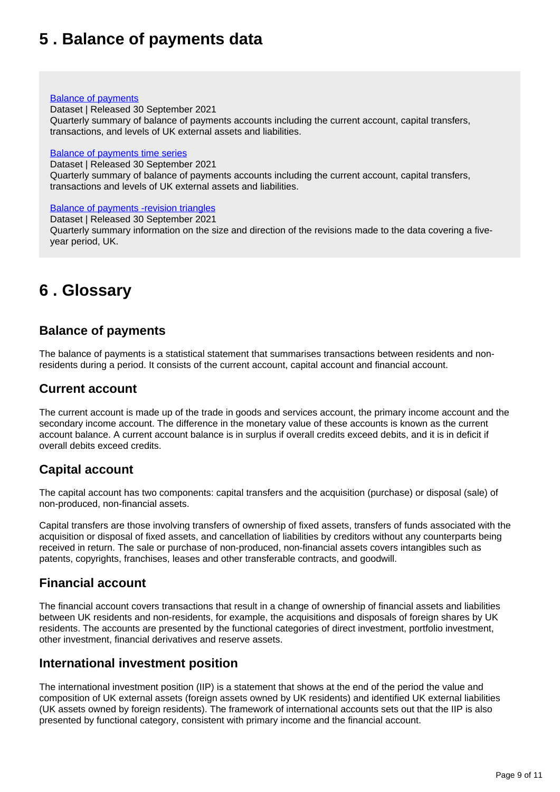## <span id="page-8-0"></span>**5 . Balance of payments data**

### [Balance of payments](https://www.ons.gov.uk/economy/nationalaccounts/balanceofpayments/datasets/balanceofpaymentsstatisticalbulletintables)

Dataset | Released 30 September 2021 Quarterly summary of balance of payments accounts including the current account, capital transfers, transactions, and levels of UK external assets and liabilities.

#### [Balance of payments time series](https://www.ons.gov.uk/economy/nationalaccounts/balanceofpayments/datasets/balanceofpayments)

Dataset | Released 30 September 2021

Quarterly summary of balance of payments accounts including the current account, capital transfers, transactions and levels of UK external assets and liabilities.

[Balance of payments -revision triangles](https://www.ons.gov.uk/economy/nationalaccounts/balanceofpayments/datasets/balanceofpaymentsrevisiontriangles)

Dataset | Released 30 September 2021 Quarterly summary information on the size and direction of the revisions made to the data covering a fiveyear period, UK.

## <span id="page-8-1"></span>**6 . Glossary**

## **Balance of payments**

The balance of payments is a statistical statement that summarises transactions between residents and nonresidents during a period. It consists of the current account, capital account and financial account.

## **Current account**

The current account is made up of the trade in goods and services account, the primary income account and the secondary income account. The difference in the monetary value of these accounts is known as the current account balance. A current account balance is in surplus if overall credits exceed debits, and it is in deficit if overall debits exceed credits.

## **Capital account**

The capital account has two components: capital transfers and the acquisition (purchase) or disposal (sale) of non-produced, non-financial assets.

Capital transfers are those involving transfers of ownership of fixed assets, transfers of funds associated with the acquisition or disposal of fixed assets, and cancellation of liabilities by creditors without any counterparts being received in return. The sale or purchase of non-produced, non-financial assets covers intangibles such as patents, copyrights, franchises, leases and other transferable contracts, and goodwill.

## **Financial account**

The financial account covers transactions that result in a change of ownership of financial assets and liabilities between UK residents and non-residents, for example, the acquisitions and disposals of foreign shares by UK residents. The accounts are presented by the functional categories of direct investment, portfolio investment, other investment, financial derivatives and reserve assets.

## **International investment position**

The international investment position (IIP) is a statement that shows at the end of the period the value and composition of UK external assets (foreign assets owned by UK residents) and identified UK external liabilities (UK assets owned by foreign residents). The framework of international accounts sets out that the IIP is also presented by functional category, consistent with primary income and the financial account.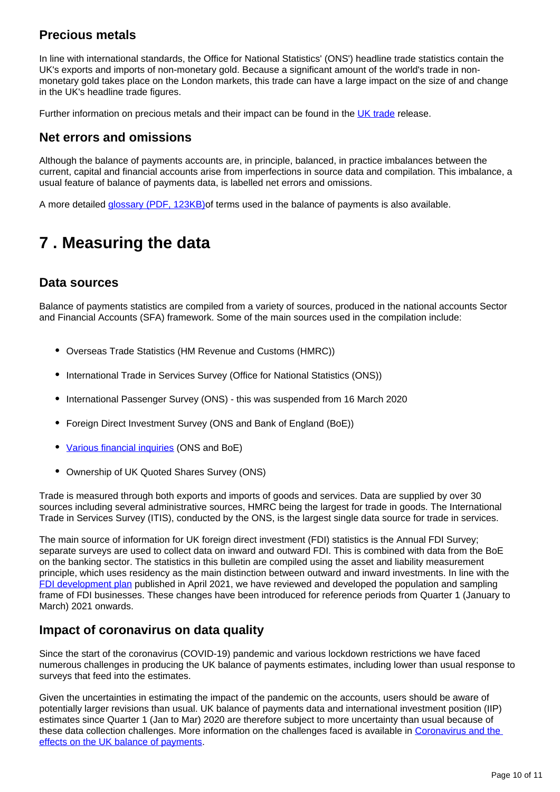## **Precious metals**

In line with international standards, the Office for National Statistics' (ONS') headline trade statistics contain the UK's exports and imports of non-monetary gold. Because a significant amount of the world's trade in nonmonetary gold takes place on the London markets, this trade can have a large impact on the size of and change in the UK's headline trade figures.

Further information on precious metals and their impact can be found in the [UK trade](https://www.ons.gov.uk/economy/nationalaccounts/balanceofpayments/bulletins/uktrade/previousReleases) release.

## **Net errors and omissions**

Although the balance of payments accounts are, in principle, balanced, in practice imbalances between the current, capital and financial accounts arise from imperfections in source data and compilation. This imbalance, a usual feature of balance of payments data, is labelled net errors and omissions.

A more detailed *glossary (PDF, 123KB)* of terms used in the balance of payments is also available.

# <span id="page-9-0"></span>**7 . Measuring the data**

## **Data sources**

Balance of payments statistics are compiled from a variety of sources, produced in the national accounts Sector and Financial Accounts (SFA) framework. Some of the main sources used in the compilation include:

- Overseas Trade Statistics (HM Revenue and Customs (HMRC))
- International Trade in Services Survey (Office for National Statistics (ONS))
- International Passenger Survey (ONS) this was suspended from 16 March 2020
- Foreign Direct Investment Survey (ONS and Bank of England (BoE))
- [Various financial inquiries](https://www.ons.gov.uk/economy/investmentspensionsandtrusts/bulletins/fundedoccupationalpensionschemesintheuk/octobertodecember2020) (ONS and BoE)
- Ownership of UK Quoted Shares Survey (ONS)  $\bullet$

Trade is measured through both exports and imports of goods and services. Data are supplied by over 30 sources including several administrative sources, HMRC being the largest for trade in goods. The International Trade in Services Survey (ITIS), conducted by the ONS, is the largest single data source for trade in services.

The main source of information for UK foreign direct investment (FDI) statistics is the Annual FDI Survey; separate surveys are used to collect data on inward and outward FDI. This is combined with data from the BoE on the banking sector. The statistics in this bulletin are compiled using the asset and liability measurement principle, which uses residency as the main distinction between outward and inward investments. In line with the [FDI development plan](https://www.ons.gov.uk/businessindustryandtrade/internationaltrade/articles/developingforeigndirectinvestmentstatistics/2021) published in April 2021, we have reviewed and developed the population and sampling frame of FDI businesses. These changes have been introduced for reference periods from Quarter 1 (January to March) 2021 onwards.

## **Impact of coronavirus on data quality**

Since the start of the coronavirus (COVID-19) pandemic and various lockdown restrictions we have faced numerous challenges in producing the UK balance of payments estimates, including lower than usual response to surveys that feed into the estimates.

Given the uncertainties in estimating the impact of the pandemic on the accounts, users should be aware of potentially larger revisions than usual. UK balance of payments data and international investment position (IIP) estimates since Quarter 1 (Jan to Mar) 2020 are therefore subject to more uncertainty than usual because of these data collection challenges. More information on the challenges faced is available in [Coronavirus and the](https://www.ons.gov.uk/economy/nationalaccounts/balanceofpayments/articles/coronavirusandtheeffectsontheukbalanceofpayments/2020-06-22)  [effects on the UK balance of payments](https://www.ons.gov.uk/economy/nationalaccounts/balanceofpayments/articles/coronavirusandtheeffectsontheukbalanceofpayments/2020-06-22).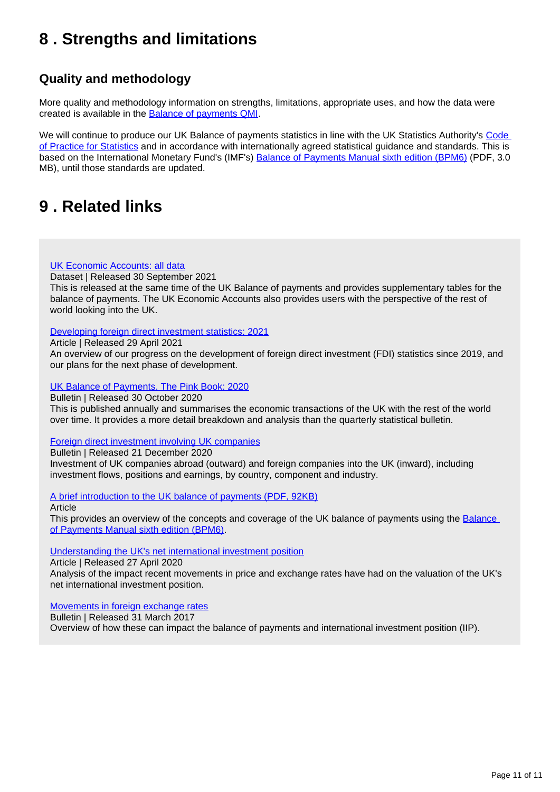## <span id="page-10-0"></span>**8 . Strengths and limitations**

## **Quality and methodology**

More quality and methodology information on strengths, limitations, appropriate uses, and how the data were created is available in the [Balance of payments QMI.](https://www.ons.gov.uk/economy/nationalaccounts/balanceofpayments/methodologies/balanceofpaymentsqmi)

We will continue to produce our UK Balance of payments statistics in line with the UK Statistics Authority's Code [of Practice for Statistics](https://code.statisticsauthority.gov.uk/) and in accordance with internationally agreed statistical guidance and standards. This is based on the International Monetary Fund's (IMF's) [Balance of Payments Manual sixth edition \(BPM6\)](https://www.imf.org/external/pubs/ft/bop/2007/pdf/bpm6.pdf) (PDF, 3.0 MB), until those standards are updated.

## <span id="page-10-1"></span>**9 . Related links**

### [UK Economic Accounts: all data](https://www.ons.gov.uk/economy/nationalaccounts/uksectoraccounts/datasets/ukeconomicaccounts)

Dataset | Released 30 September 2021

This is released at the same time of the UK Balance of payments and provides supplementary tables for the balance of payments. The UK Economic Accounts also provides users with the perspective of the rest of world looking into the UK.

### [Developing foreign direct investment statistics: 2021](https://www.ons.gov.uk/businessindustryandtrade/internationaltrade/articles/developingforeigndirectinvestmentstatistics/2021)

Article | Released 29 April 2021

An overview of our progress on the development of foreign direct investment (FDI) statistics since 2019, and our plans for the next phase of development.

### [UK Balance of Payments, The Pink Book: 2020](https://www.ons.gov.uk/economy/nationalaccounts/balanceofpayments/bulletins/unitedkingdombalanceofpaymentsthepinkbook/previousReleases)

Bulletin | Released 30 October 2020

This is published annually and summarises the economic transactions of the UK with the rest of the world over time. It provides a more detail breakdown and analysis than the quarterly statistical bulletin.

### [Foreign direct investment involving UK companies](https://www.ons.gov.uk/economy/nationalaccounts/balanceofpayments/bulletins/foreigndirectinvestmentinvolvingukcompanies/previousReleases)

Bulletin | Released 21 December 2020

Investment of UK companies abroad (outward) and foreign companies into the UK (inward), including investment flows, positions and earnings, by country, component and industry.

[A brief introduction to the UK balance of payments \(PDF, 92KB\)](http://www.ons.gov.uk/file?uri=/economy/nationalaccounts/balanceofpayments/methodologies/balanceofpayments/anintroductiontotheukbopbpm6tcm77279821.pdf)

#### Article

This provides an overview of the concepts and coverage of the UK balance of payments using the Balance [of Payments Manual sixth edition \(BPM6\)](https://www.imf.org/external/pubs/ft/bop/2007/pdf/bpm6.pdf).

### [Understanding the UK's net international investment position](https://www.ons.gov.uk/economy/nationalaccounts/uksectoraccounts/articles/understandingtheuksnetinternationalinvestmentposition/2020-04-27)

Article | Released 27 April 2020 Analysis of the impact recent movements in price and exchange rates have had on the valuation of the UK's net international investment position.

#### [Movements in foreign exchange rates](https://www.ons.gov.uk/economy/nationalaccounts/balanceofpayments/bulletins/balanceofpayments/julytosept2016#movements-in-foreign-exchange-rates)

Bulletin | Released 31 March 2017 Overview of how these can impact the balance of payments and international investment position (IIP).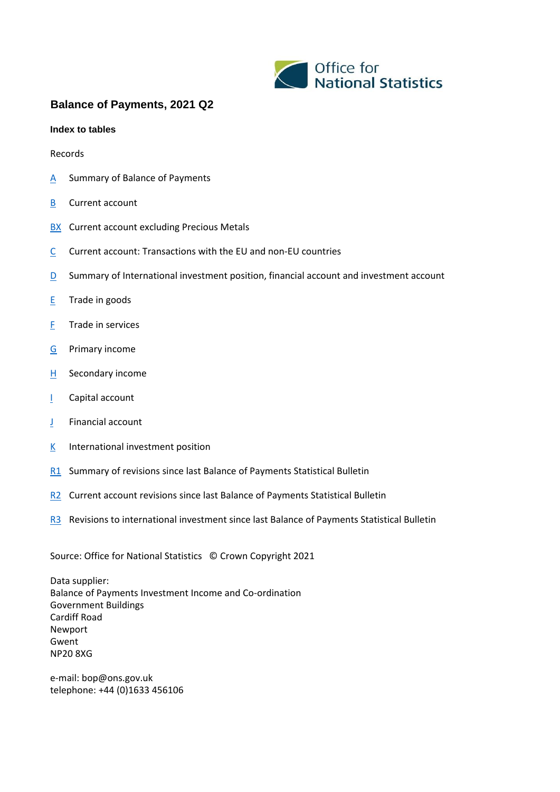

## **Balance of Payments, 2021 Q2**

#### **Index to tables**

#### Records

- A Summary of Balance of Payments
- B Current account
- **BX** Current account excluding Precious Metals
- C Current account: Transactions with the EU and non-EU countries
- D Summary of International investment position, financial account and investment account
- E Trade in goods
- F Trade in services
- G Primary income
- $H$  Secondary income
- I Capital account
- J Financial account
- $K$  International investment position
- R1 Summary of revisions since last Balance of Payments Statistical Bulletin
- R<sub>2</sub> Current account revisions since last Balance of Payments Statistical Bulletin
- R3 Revisions to international investment since last Balance of Payments Statistical Bulletin

Source: Office for National Statistics © Crown Copyright 2021

Data supplier: Balance of Payments Investment Income and Co-ordination Government Buildings Cardiff Road Newport Gwent NP20 8XG

e-mail: bop@ons.gov.uk telephone: +44 (0)1633 456106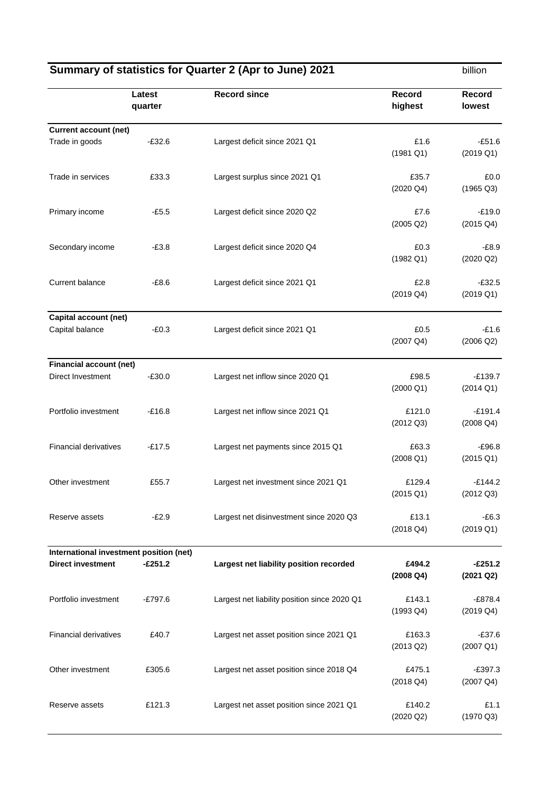| Summary of statistics for Quarter 2 (Apr to June) 2021 |                   |                                              | billion                       |                                  |
|--------------------------------------------------------|-------------------|----------------------------------------------|-------------------------------|----------------------------------|
|                                                        | Latest<br>quarter | <b>Record since</b>                          | <b>Record</b><br>highest      | <b>Record</b><br>lowest          |
| <b>Current account (net)</b>                           |                   |                                              |                               |                                  |
| Trade in goods                                         | $-£32.6$          | Largest deficit since 2021 Q1                | £1.6<br>$(1981 \ 01)$         | $-£51.6$<br>$(2019 \text{ Q1})$  |
| Trade in services                                      | £33.3             | Largest surplus since 2021 Q1                | £35.7<br>$(2020 \text{ Q4})$  | £0.0<br>$(1965 \text{ Q}3)$      |
| Primary income                                         | $-£5.5$           | Largest deficit since 2020 Q2                | £7.6<br>$(2005 \text{ Q2})$   | $-£19.0$<br>$(2015 \text{ Q}4)$  |
| Secondary income                                       | $-E3.8$           | Largest deficit since 2020 Q4                | £0.3<br>$(1982 \text{ Q1})$   | $-E8.9$<br>$(2020 \text{ Q2})$   |
| <b>Current balance</b>                                 | $-£8.6$           | Largest deficit since 2021 Q1                | £2.8<br>$(2019 \text{ Q}4)$   | $-£32.5$<br>$(2019 \text{ Q1})$  |
| <b>Capital account (net)</b>                           |                   |                                              |                               |                                  |
| Capital balance                                        | $-E0.3$           | Largest deficit since 2021 Q1                | £0.5<br>$(2007 \text{ Q4})$   | $-E1.6$<br>$(2006 \text{ Q2})$   |
| <b>Financial account (net)</b>                         |                   |                                              |                               |                                  |
| Direct Investment                                      | $-£30.0$          | Largest net inflow since 2020 Q1             | £98.5<br>$(2000 \text{ Q1})$  | $-£139.7$<br>$(2014 \text{ Q1})$ |
| Portfolio investment                                   | $-£16.8$          | Largest net inflow since 2021 Q1             | £121.0<br>$(2012 \text{ Q}3)$ | $-£191.4$<br>$(2008 \text{ Q4})$ |
| <b>Financial derivatives</b>                           | $-£17.5$          | Largest net payments since 2015 Q1           | £63.3<br>$(2008 \text{ Q1})$  | $-£96.8$<br>$(2015 \text{ Q1})$  |
| Other investment                                       | £55.7             | Largest net investment since 2021 Q1         | £129.4<br>$(2015 \text{ Q1})$ | $-£144.2$<br>$(2012 \text{ Q}3)$ |
| Reserve assets                                         | $-E2.9$           | Largest net disinvestment since 2020 Q3      | £13.1<br>$(2018 \text{ Q}4)$  | $-E6.3$<br>$(2019 \text{ Q1})$   |
| International investment position (net)                |                   |                                              |                               |                                  |
| <b>Direct investment</b>                               | $-£251.2$         | Largest net liability position recorded      | £494.2<br>$(2008 \text{ Q}4)$ | $-£251.2$<br>(2021 Q2)           |
| Portfolio investment                                   | $-£797.6$         | Largest net liability position since 2020 Q1 | £143.1<br>$(1993 \text{ Q}4)$ | $-£878.4$<br>$(2019 \text{ Q}4)$ |
| <b>Financial derivatives</b>                           | £40.7             | Largest net asset position since 2021 Q1     | £163.3<br>$(2013 \text{ Q2})$ | $-£37.6$<br>$(2007 \text{ Q1})$  |
| Other investment                                       | £305.6            | Largest net asset position since 2018 Q4     | £475.1<br>$(2018 \text{ Q}4)$ | $-£397.3$<br>$(2007 \text{ Q4})$ |
| Reserve assets                                         | £121.3            | Largest net asset position since 2021 Q1     | £140.2<br>$(2020 \text{ Q2})$ | £1.1<br>$(1970 \text{ Q}3)$      |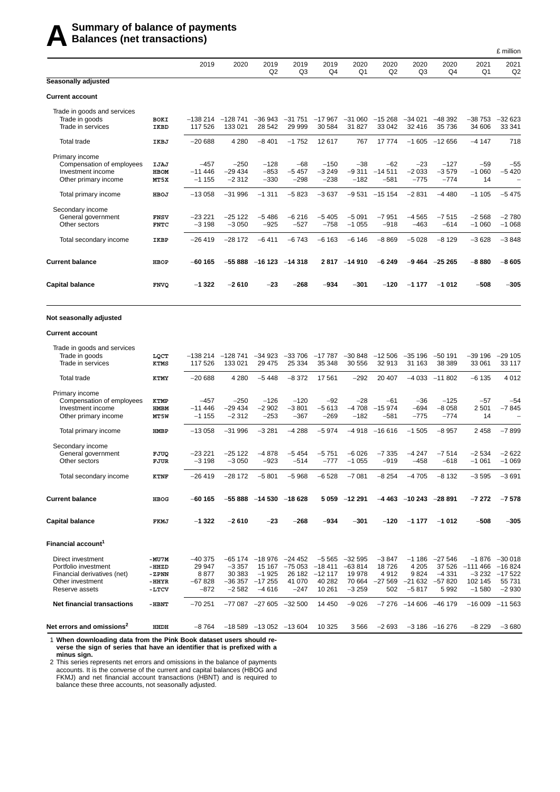## **A** Summary of balance of payments<br>**A** Balances (net transactions) **Balances (net transactions)**

|                                                                                                                |                                           |                                                  |                                          |                                                             |                                                |                                                |                                                     |                                             |                                                   |                                                   |                                                      | L IIIIIIUI                                          |
|----------------------------------------------------------------------------------------------------------------|-------------------------------------------|--------------------------------------------------|------------------------------------------|-------------------------------------------------------------|------------------------------------------------|------------------------------------------------|-----------------------------------------------------|---------------------------------------------|---------------------------------------------------|---------------------------------------------------|------------------------------------------------------|-----------------------------------------------------|
|                                                                                                                |                                           | 2019                                             | 2020                                     | 2019<br>Q2                                                  | 2019<br>Q3                                     | 2019<br>Q4                                     | 2020<br>Q1                                          | 2020<br>Q <sub>2</sub>                      | 2020<br>Q3                                        | 2020<br>Q4                                        | 2021<br>Q1                                           | 2021<br>Q <sub>2</sub>                              |
| Seasonally adjusted                                                                                            |                                           |                                                  |                                          |                                                             |                                                |                                                |                                                     |                                             |                                                   |                                                   |                                                      |                                                     |
| Current account                                                                                                |                                           |                                                  |                                          |                                                             |                                                |                                                |                                                     |                                             |                                                   |                                                   |                                                      |                                                     |
| Trade in goods and services<br>Trade in goods<br>Trade in services                                             | BOKI<br>IKBD                              | -138 214<br>117 526                              | $-128741$<br>133 021                     | $-36943$<br>28 542                                          | $-31751$<br>29 999                             | $-17967$<br>30 584                             | $-31060$<br>31 827                                  | $-15268$<br>33 042                          | $-34021$<br>32 416                                | $-48392$<br>35 736                                | $-38753$<br>34 606                                   | $-32623$<br>33 341                                  |
| Total trade                                                                                                    | IKBJ                                      | $-20688$                                         | 4 2 8 0                                  | $-8401$                                                     | $-1752$                                        | 12617                                          | 767                                                 | 17 774                                      | $-1605$                                           | $-12656$                                          | $-4147$                                              | 718                                                 |
| Primary income<br>Compensation of employees<br>Investment income<br>Other primary income                       | IJAJ<br><b>HBOM</b><br>MT5X               | $-457$<br>$-11446$<br>$-1155$                    | $-250$<br>$-29434$<br>$-2312$            | $-128$<br>$-853$<br>$-330$                                  | $-68$<br>$-5457$<br>$-298$                     | $-150$<br>$-3249$<br>$-238$                    | -38<br>$-9311$<br>$-182$                            | $-62$<br>$-14511$<br>$-581$                 | $-23$<br>$-2033$<br>$-775$                        | $-127$<br>$-3579$<br>$-774$                       | $-59$<br>$-1060$<br>14                               | $-55$<br>$-5420$<br>$\overline{\phantom{m}}$        |
| Total primary income                                                                                           | HBOJ                                      | $-13058$                                         | $-31996$                                 | $-1311$                                                     | $-5823$                                        | $-3637$                                        | $-9531$                                             | $-15154$                                    | $-2831$                                           | $-4480$                                           | $-1105$                                              | $-5475$                                             |
| Secondary income<br>General government<br>Other sectors                                                        | <b>FNSV</b><br><b>FNTC</b>                | $-23221$<br>$-3198$                              | $-25122$<br>$-3050$                      | $-5486$<br>$-925$                                           | $-6216$<br>$-527$                              | $-5405$<br>$-758$                              | $-5091$<br>$-1055$                                  | $-7951$<br>$-918$                           | $-4565$<br>$-463$                                 | $-7515$<br>$-614$                                 | $-2568$<br>$-1060$                                   | $-2780$<br>$-1068$                                  |
| Total secondary income                                                                                         | IKBP                                      | $-26419$                                         | $-28172$                                 | $-6411$                                                     | $-6743$                                        | $-6163$                                        | $-6146$                                             | $-8869$                                     | $-5028$                                           | $-8129$                                           | $-3628$                                              | $-3848$                                             |
| <b>Current balance</b>                                                                                         | HBOP                                      | $-60$ 165                                        | $-55888$                                 | $-16123$                                                    | $-14318$                                       |                                                | 2817 -14910                                         | $-6249$                                     |                                                   | $-9464 -25265$                                    | $-8880$                                              | $-8605$                                             |
| <b>Capital balance</b>                                                                                         | <b>FNVQ</b>                               | $-1322$                                          | $-2610$                                  | $-23$                                                       | -268                                           | $-934$                                         | -301                                                | $-120$                                      | $-1177$                                           | $-1012$                                           | $-508$                                               | $-305$                                              |
| Not seasonally adjusted                                                                                        |                                           |                                                  |                                          |                                                             |                                                |                                                |                                                     |                                             |                                                   |                                                   |                                                      |                                                     |
| <b>Current account</b>                                                                                         |                                           |                                                  |                                          |                                                             |                                                |                                                |                                                     |                                             |                                                   |                                                   |                                                      |                                                     |
| Trade in goods and services<br>Trade in goods<br>Trade in services                                             | LQCT<br>KTMS                              | -138 214<br>117 526                              | $-128741$<br>133 021                     | $-34923$<br>29 4 7 5                                        | $-33706$<br>25 3 34                            | $-17787$<br>35 348                             | $-30848$<br>30 556                                  | $-12506$<br>32 913                          | $-35196$<br>31 163                                | $-50$ 191<br>38 389                               | $-39196$<br>33 061                                   | $-29105$<br>33 117                                  |
| <b>Total trade</b>                                                                                             | KTMY                                      | $-20688$                                         | 4 2 8 0                                  | $-5448$                                                     | $-8372$                                        | 17561                                          | $-292$                                              | 20 407                                      | $-4033$                                           | $-11802$                                          | $-6135$                                              | 4 0 1 2                                             |
| Primary income                                                                                                 |                                           |                                                  |                                          |                                                             |                                                |                                                |                                                     |                                             |                                                   |                                                   |                                                      |                                                     |
| Compensation of employees<br>Investment income<br>Other primary income                                         | KTMP<br><b>HMBM</b><br>MT5W               | $-457$<br>$-11446$<br>$-1155$                    | $-250$<br>$-29434$<br>$-2312$            | $-126$<br>$-2902$<br>$-253$                                 | $-120$<br>$-3801$<br>$-367$                    | $-92$<br>$-5613$<br>$-269$                     | -28<br>$-4708$<br>$-182$                            | $-61$<br>$-15974$<br>$-581$                 | $-36$<br>$-694$<br>$-775$                         | $-125$<br>$-8058$<br>$-774$                       | $-57$<br>2501<br>14                                  | $-54$<br>$-7845$<br>$\overline{\phantom{0}}$        |
| Total primary income                                                                                           | <b>HMBP</b>                               | $-13058$                                         | $-31996$                                 | $-3281$                                                     | $-4288$                                        | $-5974$                                        | -4918                                               | $-16616$                                    | $-1505$                                           | $-8957$                                           | 2 4 5 8                                              | $-7899$                                             |
| Secondary income<br>General government<br>Other sectors                                                        | FJUQ<br>FJUR                              | $-23221$<br>$-3198$                              | $-25122$<br>$-3050$                      | $-4878$<br>$-923$                                           | $-5454$<br>$-514$                              | $-5751$<br>$-777$                              | $-6026$<br>$-1055$                                  | $-7335$<br>$-919$                           | $-4247$<br>$-458$                                 | $-7514$<br>$-618$                                 | $-2534$<br>$-1061$                                   | $-2622$<br>$-1069$                                  |
| Total secondary income                                                                                         | <b>KTNF</b>                               | $-26419$                                         | $-28172$                                 | $-5801$                                                     | $-5968$                                        | $-6528$                                        | $-7081$                                             | -8 254                                      | -4 705                                            | -8 132                                            | $-3595$                                              | $-3691$                                             |
| <b>Current balance</b>                                                                                         | HBOG                                      | $-60$ 165                                        |                                          | $-55888 - 14530 - 18628$                                    |                                                |                                                | 5 059 -12 291                                       |                                             | $-4463 -10243 -28891$                             |                                                   | $-7272$                                              | $-7578$                                             |
| Capital balance                                                                                                | FKMJ                                      | $-1322$                                          | $-2610$                                  | $-23$                                                       | -268                                           | $-934$                                         | -301                                                | $-120$                                      | $-1177$                                           | $-1012$                                           | $-508$                                               | $-305$                                              |
| Financial account <sup>1</sup>                                                                                 |                                           |                                                  |                                          |                                                             |                                                |                                                |                                                     |                                             |                                                   |                                                   |                                                      |                                                     |
| Direct investment<br>Portfolio investment<br>Financial derivatives (net)<br>Other investment<br>Reserve assets | -MU7M<br>-HHZD<br>-ZPNN<br>-HHYR<br>-LTCV | $-40375$<br>29 947<br>8877<br>$-67828$<br>$-872$ | $-3357$<br>30 383<br>$-36357$<br>$-2582$ | $-65174 -18976$<br>15 167<br>$-1925$<br>$-17255$<br>$-4616$ | -24 452<br>$-75053 -18411$<br>41 070<br>$-247$ | $-5565$<br>26 182 -12 117<br>40 28 2<br>10 261 | $-32595$<br>$-63814$<br>19 978<br>70 664<br>$-3259$ | $-3847$<br>18726<br>4912<br>$-27569$<br>502 | $-1186$<br>4 2 0 5<br>9824<br>$-21632$<br>$-5817$ | $-27546$<br>37 526<br>$-4331$<br>$-57820$<br>5992 | $-1876$<br>–111 466<br>$-3232$<br>102 145<br>$-1580$ | –30 018<br>-16 824<br>$-17522$<br>55 731<br>$-2930$ |
| <b>Net financial transactions</b>                                                                              | -HBNT                                     | $-70251$                                         |                                          | $-77087 -27605 -32500$                                      |                                                | 14 450                                         | $-9026$                                             |                                             | $-7276 -14606 -46179$                             |                                                   |                                                      | $-16009$ $-11563$                                   |
| Net errors and omissions <sup>2</sup>                                                                          | HHDH                                      | $-8764$                                          |                                          | $-18589 -13052 -13604$                                      |                                                | 10 3 25                                        | 3566                                                | $-2693$                                     |                                                   | $-3186 -16276$                                    | $-8229$                                              | $-3680$                                             |

£ million

1 **When downloading data from the Pink Book dataset users should reverse the sign of series that have an identifier that is prefixed with a minus sign.**

2 This series represents net errors and omissions in the balance of payments accounts. It is the converse of the current and capital balances (HBOG and FKMJ) and net financial account transactions (HBNT) and is required to balance these three accounts, not seasonally adjusted.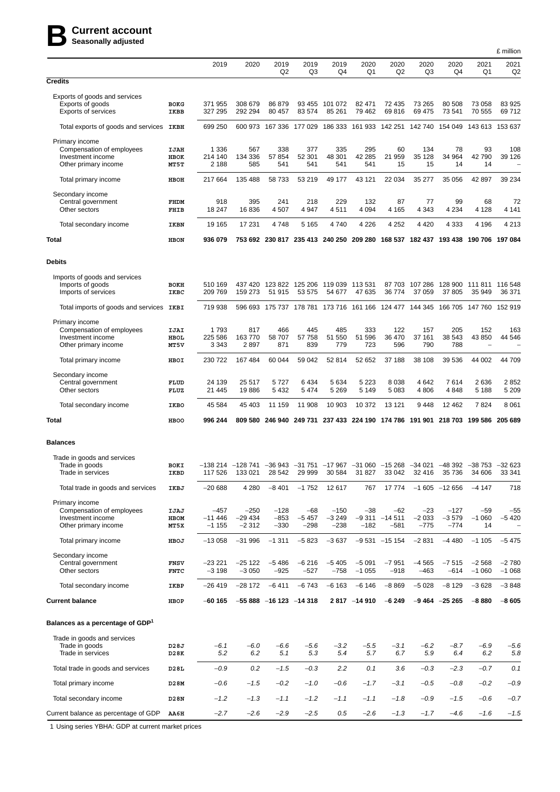# **BCurrent account Seasonally adjusted**

|                                                                                          |                             |                               |                                                                                                                            |                          |                            |                                 |                      |                                    |                            |                             |                                                                                 | £ million              |
|------------------------------------------------------------------------------------------|-----------------------------|-------------------------------|----------------------------------------------------------------------------------------------------------------------------|--------------------------|----------------------------|---------------------------------|----------------------|------------------------------------|----------------------------|-----------------------------|---------------------------------------------------------------------------------|------------------------|
|                                                                                          |                             | 2019                          | 2020                                                                                                                       | 2019<br>Q <sub>2</sub>   | 2019<br>Q3                 | 2019<br>Q4                      | 2020<br>Q1           | 2020<br>Q <sub>2</sub>             | 2020<br>Q3                 | 2020<br>Q4                  | 2021<br>Q1                                                                      | 2021<br>Q <sub>2</sub> |
| <b>Credits</b>                                                                           |                             |                               |                                                                                                                            |                          |                            |                                 |                      |                                    |                            |                             |                                                                                 |                        |
| Exports of goods and services<br>Exports of goods<br>Exports of services                 | <b>BOKG</b><br>IKBB         | 371 955<br>327 295            | 308 679<br>292 294                                                                                                         | 86 879<br>80 457         | 93 455<br>83 574           | 101 072<br>85 261               | 82 471<br>79 462     | 72 435<br>69816                    | 73 265<br>69 475           | 80 508<br>73 541            | 73 058<br>70 555                                                                | 83 925<br>69712        |
| Total exports of goods and services IKBH                                                 |                             | 699 250                       |                                                                                                                            | 600 973 167 336          | 177 029                    |                                 |                      | 186 333 161 933 142 251 142 740    |                            |                             | 154 049 143 613 153 637                                                         |                        |
| Primary income<br>Compensation of employees<br>Investment income<br>Other primary income | IJAH<br>HBOK<br>MT5T        | 1 3 3 6<br>214 140<br>2 1 8 8 | 567<br>134 336<br>585                                                                                                      | 338<br>57 854<br>541     | 377<br>52 301<br>541       | 335<br>48 301<br>541            | 295<br>42 285<br>541 | 60<br>21 959<br>15                 | 134<br>35 128<br>15        | 78<br>34 964<br>14          | 93<br>42 790<br>14                                                              | 108<br>39 1 26         |
| Total primary income                                                                     | HBOH                        | 217 664                       | 135 488                                                                                                                    | 58 733                   | 53 219                     | 49 177                          | 43 121               | 22 034                             | 35 277                     | 35 056                      | 42 897                                                                          | 39 234                 |
| Secondary income<br>Central government<br>Other sectors                                  | FHDM<br>FHIB                | 918<br>18 247                 | 395<br>16836                                                                                                               | 241<br>4507              | 218<br>4 9 4 7             | 229<br>4511                     | 132<br>4 0 9 4       | 87<br>4 1 6 5                      | 77<br>4 3 4 3              | 99<br>4 2 3 4               | 68<br>4 1 2 8                                                                   | 72<br>4 1 4 1          |
| Total secondary income                                                                   | IKBN                        | 19 165                        | 17 231                                                                                                                     | 4748                     | 5 1 6 5                    | 4740                            | 4 2 2 6              | 4 2 5 2                            | 4 4 2 0                    | 4 3 3 3                     | 4 1 9 6                                                                         | 4 2 1 3                |
| Total                                                                                    | <b>HBON</b>                 | 936 079                       |                                                                                                                            |                          |                            |                                 |                      |                                    |                            |                             | 753 692 230 817 235 413 240 250 209 280 168 537 182 437 193 438 190 706 197 084 |                        |
| <b>Debits</b>                                                                            |                             |                               |                                                                                                                            |                          |                            |                                 |                      |                                    |                            |                             |                                                                                 |                        |
| Imports of goods and services<br>Imports of goods<br>Imports of services                 | BOKH<br>IKBC                | 510 169<br>209 769            | 437 420<br>159 273                                                                                                         | 123 822<br>51 915        | 125 206<br>53 575          | 119 039<br>54 677               | 113 531<br>47 635    | 87 703<br>36774                    | 107 286<br>37 059          | 37 805                      | 128 900 111 811 116 548<br>35 949                                               | 36 371                 |
| Total imports of goods and services                                                      | IKBI                        | 719 938                       | 596 693                                                                                                                    |                          |                            | 175 737 178 781 173 716 161 166 |                      |                                    | 124 477 144 345            |                             | 166 705 147 760 152 919                                                         |                        |
| Primary income<br>Compensation of employees<br>Investment income<br>Other primary income | IJAI<br><b>HBOL</b><br>MT5V | 1793<br>225 586<br>3 3 4 3    | 817<br>163770<br>2897                                                                                                      | 466<br>58 707<br>871     | 445<br>57 758<br>839       | 485<br>51 550<br>779            | 333<br>51 596<br>723 | 122<br>36 470<br>596               | 157<br>37 161<br>790       | 205<br>38 543<br>788        | 152<br>43 850<br>$\overline{\phantom{0}}$                                       | 163<br>44 546          |
| Total primary income                                                                     | HBOI                        | 230 722                       | 167 484                                                                                                                    | 60 044                   | 59 042                     | 52 814                          | 52 652               | 37 188                             | 38 108                     | 39 536                      | 44 002                                                                          | 44 709                 |
| Secondary income<br>Central government<br>Other sectors                                  | FLUD<br>FLUZ                | 24 139<br>21 445              | 25 517<br>19886                                                                                                            | 5727<br>5 4 3 2          | 6434<br>5474               | 5 6 3 4<br>5 2 6 9              | 5 2 2 3<br>5 1 4 9   | 8038<br>5083                       | 4 6 4 2<br>4 8 0 6         | 7614<br>4848                | 2636<br>5 1 8 8                                                                 | 2852<br>5 2 0 9        |
| Total secondary income                                                                   | IKBO                        | 45 584                        | 45 403                                                                                                                     | 11 159                   | 11 908                     | 10 903                          | 10 372               | 13 121                             | 9448                       | 12 4 62                     | 7824                                                                            | 8 0 6 1                |
| Total                                                                                    | <b>HBOO</b>                 | 996 244                       | 809 580                                                                                                                    | 246 940                  | 249 731                    |                                 |                      | 237 433 224 190 174 786            | 191 901                    |                             | 218 703 199 586                                                                 | 205 689                |
| <b>Balances</b>                                                                          |                             |                               |                                                                                                                            |                          |                            |                                 |                      |                                    |                            |                             |                                                                                 |                        |
| Trade in goods and services<br>Trade in goods<br>Irade in services                       | BOKI<br>IKBD                | 117 526                       | $-138$ 214 $-128$ 741 $-36$ 943 $-31$ 751 $-17$ 967 $-31$ 060 $-15$ 268 $-34$ 021 $-48$ 392 $-38$ 753 $-32$ 623<br>133 021 | 28 542                   | 59 999                     | 30 584                          | 31827                | 33 042                             | 32 416                     | 35 736                      | 34 606                                                                          | 33 341                 |
| Total trade in goods and services                                                        | IKBJ                        | $-20688$                      | 4 2 8 0                                                                                                                    | $-8401$                  | $-1752$                    | 12 617                          | 767                  | 17 774                             |                            | $-1605 -12656$              | $-4147$                                                                         | 718                    |
| Primary income<br>Compensation of employees<br>Investment income<br>Other primary income | IJAJ<br>HBOM<br>MT5X        | $-457$<br>$-11446$<br>$-1155$ | $-250$<br>$-29434$<br>$-2312$                                                                                              | $-128$<br>-853<br>$-330$ | $-68$<br>$-5457$<br>$-298$ | $-150$<br>$-3249$<br>$-238$     | $-38$<br>$-182$      | $-62$<br>$-9311 - 14511$<br>$-581$ | $-23$<br>$-2033$<br>$-775$ | $-127$<br>$-3579$<br>$-774$ | -59<br>$-1060$<br>14                                                            | $-55$<br>$-5420$       |
| Total primary income                                                                     | HBOJ                        | $-13058$                      | $-31996$                                                                                                                   | $-1311$                  | $-5823$                    | $-3637$                         |                      | $-9531 -15154$                     | $-2831$                    | $-4480$                     | $-1105$                                                                         | $-5475$                |
| Secondary income<br>Central government<br>Other sectors                                  | <b>FNSV</b><br><b>FNTC</b>  | $-23221$<br>$-3198$           | -25 122<br>$-3050$                                                                                                         | $-5486$<br>$-925$        | $-6216$<br>$-527$          | $-5405$<br>$-758$               | $-5091$<br>$-1055$   | $-7951$<br>$-918$                  | $-4565$<br>$-463$          | $-7515$<br>$-614$           | $-2568$<br>$-1060$                                                              | $-2780$<br>$-1068$     |
| Total secondary income                                                                   | IKBP                        | $-26419$                      | $-28172$                                                                                                                   | $-6411$                  | $-6743$                    | $-6163$                         | $-6146$              | $-8869$                            | $-5028$                    | $-8129$                     | $-3628$                                                                         | $-3848$                |
| <b>Current balance</b>                                                                   | HBOP                        | $-60$ 165                     |                                                                                                                            | $-55888 - 16123 - 14318$ |                            |                                 | 2817 -14910          | $-6249$                            |                            | $-9464 -25265$              | $-8880$                                                                         | $-8605$                |
| Balances as a percentage of GDP <sup>1</sup>                                             |                             |                               |                                                                                                                            |                          |                            |                                 |                      |                                    |                            |                             |                                                                                 |                        |
| Trade in goods and services<br>Trade in goods<br>Trade in services                       | D28J<br>D28K                | $-6.1$<br>5.2                 | $-6.0$<br>6.2                                                                                                              | $-6.6$<br>5.1            | $-5.6$<br>5.3              | $-3.2$<br>5.4                   | $-5.5$<br>5.7        | $-3.1$<br>6.7                      | $-6.2$<br>5.9              | $-8.7$<br>6.4               | $-6.9$<br>6.2                                                                   | -5.6<br>5.8            |
| Total trade in goods and services                                                        | D28L                        | $-0.9$                        | 0.2                                                                                                                        | $-1.5$                   | $-0.3$                     | 2.2                             | 0.1                  | 3.6                                | $-0.3$                     | $-2.3$                      | $-0.7$                                                                          | 0.1                    |
| Total primary income                                                                     | D28M                        | $-0.6$                        | $-1.5$                                                                                                                     | $-0.2$                   | $-1.0$                     | -0.6                            | $-1.7$               | $-3.1$                             | $-0.5$                     | $-0.8$                      | $-0.2$                                                                          | $-0.9$                 |
| Total secondary income                                                                   | D28N                        | $-1.2$                        | $-1.3$                                                                                                                     | $-1.1$                   | $-1.2$                     | $-1.1$                          | $-1.1$               | $-1.8$                             | $-0.9$                     | $-1.5$                      | $-0.6$                                                                          | $-0.7$                 |
| Current balance as percentage of GDP                                                     | AA6H                        | $-2.7$                        | $-2.6$                                                                                                                     | $-2.9$                   | $-2.5$                     | 0.5                             | $-2.6$               | $-1.3$                             | $-1.7$                     | $-4.6$                      | $-1.6$                                                                          | $-1.5$                 |

1 Using series YBHA: GDP at current market prices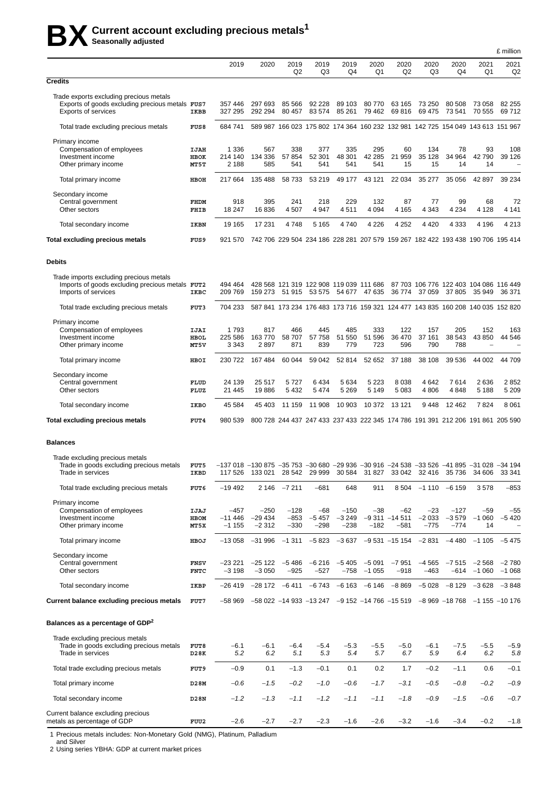# **BX Current account excluding precious metals<sup>1</sup> Seasonally adjusted**

|                                                                                                                          |                            |                                                                                                                            |                                                                                 |                            |                                                   |                             |                      |                                    |                                                                                 |                             |                          | £ million          |
|--------------------------------------------------------------------------------------------------------------------------|----------------------------|----------------------------------------------------------------------------------------------------------------------------|---------------------------------------------------------------------------------|----------------------------|---------------------------------------------------|-----------------------------|----------------------|------------------------------------|---------------------------------------------------------------------------------|-----------------------------|--------------------------|--------------------|
|                                                                                                                          |                            | 2019                                                                                                                       | 2020                                                                            | 2019<br>Q <sub>2</sub>     | 2019<br>Q3                                        | 2019<br>Q4                  | 2020<br>Q1           | 2020<br>Q2                         | 2020<br>Q3                                                                      | 2020<br>Q4                  | 2021<br>Q1               | 2021<br>Q2         |
| <b>Credits</b>                                                                                                           |                            |                                                                                                                            |                                                                                 |                            |                                                   |                             |                      |                                    |                                                                                 |                             |                          |                    |
| Trade exports excluding precious metals<br>Exports of goods excluding precious metals FUS7<br><b>Exports of services</b> | IKBB                       | 357446<br>327 295                                                                                                          | 297 693<br>292 294                                                              | 85 566<br>80 457           | 92 228<br>83 574                                  | 89 103<br>85 261            | 80 770<br>79 462     | 63 165<br>69816                    | 73 250<br>69 475                                                                | 80 508<br>73 541            | 73 058<br>70 555         | 82 255<br>69712    |
| Total trade excluding precious metals                                                                                    | <b>FUS8</b>                | 684741                                                                                                                     |                                                                                 |                            |                                                   |                             |                      |                                    | 589 987 166 023 175 802 174 364 160 232 132 981 142 725 154 049 143 613 151 967 |                             |                          |                    |
| Primary income<br>Compensation of employees<br>Investment income<br>Other primary income                                 | IJAH<br>HBOK<br>MT5T       | 1 3 3 6<br>214 140<br>2 1 8 8                                                                                              | 567<br>134 336<br>585                                                           | 338<br>57 854<br>541       | 377<br>52 301<br>541                              | 335<br>48 301<br>541        | 295<br>42 285<br>541 | 60<br>21 959<br>15                 | 134<br>35 128<br>15                                                             | 78<br>34 964<br>14          | 93<br>42 790<br>14       | 108<br>39 1 26     |
| Total primary income                                                                                                     | HBOH                       | 217 664                                                                                                                    | 135 488                                                                         | 58 733                     | 53 219                                            | 49 177                      | 43 121               | 22 0 34                            | 35 277                                                                          | 35 056                      | 42 897                   | 39 234             |
| Secondary income<br>Central government<br>Other sectors                                                                  | FHDM<br>FHIB               | 918<br>18 247                                                                                                              | 395<br>16836                                                                    | 241<br>4 5 0 7             | 218<br>4 9 4 7                                    | 229<br>4511                 | 132<br>4 0 9 4       | 87<br>4 1 6 5                      | 77<br>4 3 4 3                                                                   | 99<br>4 2 3 4               | 68<br>4 1 2 8            | 72<br>4 1 4 1      |
| Total secondary income                                                                                                   | IKBN                       | 19 165                                                                                                                     | 17 231                                                                          | 4748                       | 5 1 6 5                                           | 4740                        | 4 2 2 6              | 4 2 5 2                            | 4 4 2 0                                                                         | 4 3 3 3                     | 4 1 9 6                  | 4 2 1 3            |
| Total excluding precious metals                                                                                          | <b>FUS9</b>                | 921 570                                                                                                                    | 742 706 229 504 234 186 228 281 207 579 159 267 182 422 193 438 190 706 195 414 |                            |                                                   |                             |                      |                                    |                                                                                 |                             |                          |                    |
| <b>Debits</b>                                                                                                            |                            |                                                                                                                            |                                                                                 |                            |                                                   |                             |                      |                                    |                                                                                 |                             |                          |                    |
| Trade imports excluding precious metals<br>Imports of goods excluding precious metals FUT2<br>Imports of services        | IKBC                       | 494 464<br>209 769                                                                                                         | 159 273                                                                         | 51 915                     | 428 568 121 319 122 908 119 039 111 686<br>53 575 | 54 677                      | 47 635               | 36 774                             | 87 703 106 776 122 403 104 086 116 449<br>37 059                                | 37 805                      | 35 949                   | 36 371             |
| Total trade excluding precious metals                                                                                    | FUT3                       | 704 233                                                                                                                    |                                                                                 |                            |                                                   |                             |                      |                                    | 587 841 173 234 176 483 173 716 159 321 124 477 143 835 160 208 140 035 152 820 |                             |                          |                    |
| Primary income<br>Compensation of employees<br>Investment income<br>Other primary income                                 | IJAI<br>HBOL<br>MT5V       | 1793<br>225 586<br>3 3 4 3                                                                                                 | 817<br>163770<br>2897                                                           | 466<br>58 707<br>871       | 445<br>57 758<br>839                              | 485<br>51 550<br>779        | 333<br>51 596<br>723 | 122<br>36 470<br>596               | 157<br>37 161<br>790                                                            | 205<br>38 543<br>788        | 152<br>43 850            | 163<br>44 546      |
| Total primary income                                                                                                     | HBOI                       | 230 722                                                                                                                    | 167 484                                                                         | 60 044                     | 59 042                                            | 52 814                      | 52 652               | 37 188                             | 38 108                                                                          | 39 536                      | 44 002                   | 44709              |
| Secondary income<br>Central government<br>Other sectors                                                                  | FLUD<br>FLUZ               | 24 139<br>21 4 4 5                                                                                                         | 25 517<br>19886                                                                 | 5727<br>5 4 3 2            | 6434<br>5 4 7 4                                   | 5 6 3 4<br>5 2 6 9          | 5 2 2 3<br>5 1 4 9   | 8038<br>5 0 8 3                    | 4 642<br>4 806                                                                  | 7614<br>4848                | 2636<br>5 1 8 8          | 2852<br>5 2 0 9    |
| Total secondary income                                                                                                   | IKBO                       | 45 5 84                                                                                                                    | 45 403                                                                          | 11 159                     | 11 908                                            | 10 903                      | 10 372               | 13 1 21                            | 9448                                                                            | 12 4 62                     | 7824                     | 8 0 6 1            |
| <b>Total excluding precious metals</b>                                                                                   | FUT4                       | 980 539                                                                                                                    |                                                                                 |                            |                                                   |                             |                      |                                    | 800 728 244 437 247 433 237 433 222 345 174 786 191 391 212 206 191 861 205 590 |                             |                          |                    |
| <b>Balances</b>                                                                                                          |                            |                                                                                                                            |                                                                                 |                            |                                                   |                             |                      |                                    |                                                                                 |                             |                          |                    |
| Trade excluding precious metals<br>Trade in goods excluding precious metals<br>Trade in services                         | <b>FUT5</b><br>IKBD        | $-137$ 018 $-130$ 875 $-35$ 753 $-30$ 680 $-29$ 936 $-30$ 916 $-24$ 538 $-33$ 526 $-41$ 895 $-31$ 028 $-34$ 194<br>117 526 | 133 021                                                                         | 28 542                     | 29 999                                            | 30 584                      | 31 827               | 33 042                             | 32 416                                                                          | 35 736                      | 34 606                   | 33 341             |
| Total trade excluding precious metals                                                                                    | FUT6                       | $-19492$                                                                                                                   | 2 1 4 6                                                                         | $-7211$                    | $-681$                                            | 648                         | 911                  | 8504                               |                                                                                 | $-1110 - 6159$              | 3578                     | $-853$             |
| Primary income<br>Compensation of employees<br>Investment income<br>Other primary income                                 | IJAJ<br>HBOM<br>MT5X       | $-457$<br>$-11446$<br>$-1155$                                                                                              | $-250$<br>$-29434$<br>$-2312$                                                   | $-128$<br>$-853$<br>$-330$ | $-68$<br>$-5457$<br>-298                          | $-150$<br>$-3249$<br>$-238$ | $-38$<br>$-182$      | $-62$<br>$-9311 - 14511$<br>$-581$ | $-23$<br>$-2033$<br>$-775$                                                      | $-127$<br>$-3579$<br>$-774$ | $-59$<br>$-1060$<br>14   | $-55$<br>$-5420$   |
| Total primary income                                                                                                     | HBOJ                       | $-13058$                                                                                                                   | $-31996$                                                                        | $-1311$                    | $-5823$                                           | $-3637$                     |                      | $-9531 - 15154$                    | $-2831$                                                                         | $-4480$                     | $-1105$                  | $-5475$            |
| Secondary income<br>Central government<br>Other sectors                                                                  | <b>FNSV</b><br><b>FNTC</b> | $-23221$<br>$-3198$                                                                                                        | $-25122$<br>$-3050$                                                             | $-5486$<br>$-925$          | $-6216$<br>-527                                   | $-5405$<br>$-758$           | $-5091$<br>$-1055$   | $-7951$<br>$-918$                  | $-4565$<br>$-463$                                                               | $-7515$                     | $-2568$<br>$-614 - 1060$ | $-2780$<br>$-1068$ |
| Total secondary income                                                                                                   | IKBP                       | $-26419$                                                                                                                   | $-28172$ $-6411$ $-6743$ $-6163$                                                |                            |                                                   |                             | $-6146$              | $-8869$                            | $-5028$                                                                         | $-8129$                     | $-3628$                  | $-3848$            |
| <b>Current balance excluding precious metals</b>                                                                         | FUT7                       | $-58969$                                                                                                                   |                                                                                 |                            |                                                   |                             |                      |                                    | $-58022 -14933 -13247 -9152 -14766 -15519 -8969 -18768 -1155 -10176$            |                             |                          |                    |
| Balances as a percentage of GDP <sup>2</sup>                                                                             |                            |                                                                                                                            |                                                                                 |                            |                                                   |                             |                      |                                    |                                                                                 |                             |                          |                    |
| Trade excluding precious metals<br>Trade in goods excluding precious metals<br>Trade in services                         | <b>FUT8</b><br>D28K        | $-6.1$<br>5.2                                                                                                              | $-6.1$<br>6.2                                                                   | $-6.4$<br>5.1              | $-5.4$<br>5.3                                     | $-5.3$<br>5.4               | $-5.5$<br>5.7        | $-5.0$<br>6.7                      | $-6.1$<br>5.9                                                                   | $-7.5$<br>6.4               | $-5.5$<br>6.2            | $-5.9$<br>5.8      |
| Total trade excluding precious metals                                                                                    | FUT9                       | $-0.9$                                                                                                                     | 0.1                                                                             | $-1.3$                     | $-0.1$                                            | 0.1                         | 0.2                  | 1.7                                | $-0.2$                                                                          | $-1.1$                      | 0.6                      | $-0.1$             |
| Total primary income                                                                                                     | D28M                       | $-0.6$                                                                                                                     | $-1.5$                                                                          | $-0.2$                     | $-1.0$                                            | $-0.6$                      | $-1.7$               | $-3.1$                             | $-0.5$                                                                          | $-0.8$                      | $-0.2$                   | $-0.9$             |
| Total secondary income                                                                                                   | D28N                       | $-1.2$                                                                                                                     | $-1.3$                                                                          | $-1.1$                     | $-1.2$                                            | $-1.1$                      | $-1.1$               | $-1.8$                             | $-0.9$                                                                          | $-1.5$                      | $-0.6$                   | $-0.7$             |
| Current balance excluding precious<br>metals as percentage of GDP                                                        | FUU2                       | $-2.6$                                                                                                                     | $-2.7$                                                                          | $-2.7$                     | $-2.3$                                            | $-1.6$                      | $-2.6$               | $-3.2$                             | $-1.6$                                                                          | $-3.4$                      | $-0.2$                   | $-1.8$             |

1 Precious metals includes: Non-Monetary Gold (NMG), Platinum, Palladium

and Silver

2 Using series YBHA: GDP at current market prices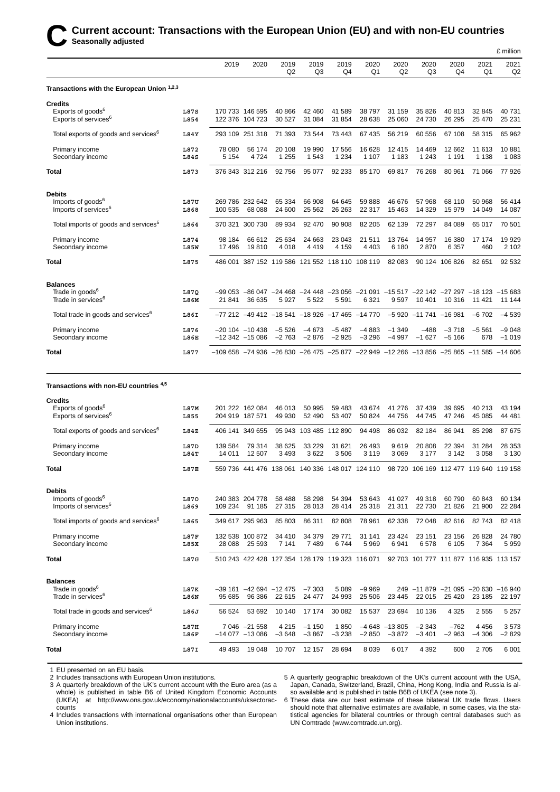|                                                  |      |                                                                                                     |                  |                                                  |                        |                        |                        |                        |                        |                                                                                         |                        | £ million  |
|--------------------------------------------------|------|-----------------------------------------------------------------------------------------------------|------------------|--------------------------------------------------|------------------------|------------------------|------------------------|------------------------|------------------------|-----------------------------------------------------------------------------------------|------------------------|------------|
|                                                  |      | 2019                                                                                                | 2020             | 2019<br>Q2                                       | 2019<br>Q <sub>3</sub> | 2019<br>Q <sub>4</sub> | 2020<br>Q <sub>1</sub> | 2020<br>Q <sub>2</sub> | 2020<br>Q <sub>3</sub> | 2020<br>Q <sub>4</sub>                                                                  | 2021<br>Q <sub>1</sub> | 2021<br>Q2 |
| Transactions with the European Union 1,2,3       |      |                                                                                                     |                  |                                                  |                        |                        |                        |                        |                        |                                                                                         |                        |            |
| <b>Credits</b>                                   |      |                                                                                                     |                  |                                                  |                        |                        |                        |                        |                        |                                                                                         |                        |            |
| Exports of goods <sup>6</sup>                    | L87S |                                                                                                     | 170 733 146 595  | 40 866                                           | 42 460                 | 41 589                 | 38 797                 | 31 159                 | 35 826                 | 40 813                                                                                  | 32 845                 | 40 731     |
| Exports of services <sup>6</sup>                 | L854 |                                                                                                     | 122 376 104 723  | 30 527                                           | 31 084                 | 31 854                 | 28 638                 | 25 060                 | 24 730                 | 26 29 5                                                                                 | 25 470                 | 25 2 31    |
| Total exports of goods and services <sup>6</sup> | L84Y |                                                                                                     | 293 109 251 318  | 71 393                                           | 73 544                 | 73 443                 | 67 435                 | 56 219                 | 60 556                 | 67 108                                                                                  | 58 315                 | 65 962     |
| Primary income                                   | L872 | 78 080                                                                                              | 56 174           | 20 108                                           | 19 990                 | 17 556                 | 16 628                 | 12 4 15                | 14 4 69                | 12 662                                                                                  | 11 613                 | 10881      |
| Secondary income                                 | L84S | 5 1 5 4                                                                                             | 4724             | 1 2 5 5                                          | 1 5 4 3                | 1 2 3 4                | 1 1 0 7                | 1 1 8 3                | 1 2 4 3                | 1 1 9 1                                                                                 | 1 1 3 8                | 1 0 8 3    |
| <b>Total</b>                                     | L873 |                                                                                                     | 376 343 312 216  | 92 756                                           | 95 077                 | 92 233                 | 85 170                 | 69 817                 | 76 268                 | 80 961                                                                                  | 71 066                 | 77926      |
| <b>Debits</b>                                    |      |                                                                                                     |                  |                                                  |                        |                        |                        |                        |                        |                                                                                         |                        |            |
| Imports of goods <sup>6</sup>                    | L87U |                                                                                                     | 269 786 232 642  | 65 334                                           | 66 908                 | 64 645                 | 59 888                 | 46 676                 | 57 968                 | 68 110                                                                                  | 50 968                 | 56 414     |
| Imports of services <sup>6</sup>                 | L868 | 100 535                                                                                             | 68 088           | 24 600                                           | 25 5 62                | 26 26 3                | 22 317                 | 15 4 63                | 14 3 29                | 15979                                                                                   | 14 049                 | 14 087     |
| Total imports of goods and services <sup>6</sup> | L864 |                                                                                                     | 370 321 300 730  | 89 934                                           | 92 470                 | 90 908                 | 82 205                 | 62 139                 | 72 297                 | 84 089                                                                                  | 65 017                 | 70 501     |
| Primary income                                   | L874 | 98 184                                                                                              | 66 612           | 25 634                                           | 24 663                 | 23 043                 | 21 511                 | 13764                  | 14 957                 | 16 380                                                                                  | 17 174                 | 19929      |
| Secondary income                                 | L85W | 17496                                                                                               | 19810            | 4018                                             | 4 4 1 9                | 4 1 5 9                | 4 4 0 3                | 6 180                  | 2870                   | 6 3 5 7                                                                                 | 460                    | 2 1 0 2    |
| <b>Total</b>                                     | L875 |                                                                                                     |                  | 486 001 387 152 119 586 121 552 118 110 108 119  |                        |                        |                        | 82 083                 |                        | 90 124 106 826                                                                          | 82 651                 | 92 532     |
| <b>Balances</b>                                  |      |                                                                                                     |                  |                                                  |                        |                        |                        |                        |                        |                                                                                         |                        |            |
| Trade in goods <sup>6</sup>                      | L87Q |                                                                                                     |                  |                                                  |                        |                        |                        |                        |                        | -99 053 -86 047 -24 468 -24 448 -23 056 -21 091 -15 517 -22 142 -27 297 -18 123 -15 683 |                        |            |
| Trade in services <sup>6</sup>                   | L86M | 21841                                                                                               | 36 635           | 5927                                             | 5 5 2 2                | 5 5 9 1                | 6 3 21                 | 9597                   | 10 401                 | 10 316                                                                                  | 11 421                 | 11 144     |
| Total trade in goods and services <sup>6</sup>   | L86I |                                                                                                     |                  | $-77212 - 49412 - 18541 - 18926 - 17465 - 14770$ |                        |                        |                        |                        | $-5920 -11741 -16981$  |                                                                                         | $-6702$                | $-4539$    |
| Primary income                                   | L876 |                                                                                                     | $-20104 - 10438$ | $-5526$                                          | $-4673$                | $-5487$                | $-4883$                | $-1349$                | $-488$                 | $-3718$                                                                                 | $-5561$                | $-9048$    |
| Secondary income                                 | L86E |                                                                                                     | $-12342 -15086$  | $-2763$                                          | $-2876$                | $-2925$                | $-3296$                | $-4997$                | $-1627$                | $-5166$                                                                                 | 678                    | $-1019$    |
| <b>Total</b>                                     | L877 | $-109658$ $-74936$ $-26830$ $-26475$ $-25877$ $-22949$ $-12266$ $-13856$ $-25865$ $-11585$ $-14606$ |                  |                                                  |                        |                        |                        |                        |                        |                                                                                         |                        |            |

#### **Transactions with non-EU countries 4,5**

| <b>Credits</b>                                   |             |         |                          |         |         |                                                 |         |                |                                        |          |                  |          |
|--------------------------------------------------|-------------|---------|--------------------------|---------|---------|-------------------------------------------------|---------|----------------|----------------------------------------|----------|------------------|----------|
| Exports of goods <sup>6</sup>                    | L87M        |         | 201 222 162 084          | 46 013  | 50 995  | 59 483                                          | 43 674  | 41 276         | 37 439                                 | 39 695   | 40 213           | 43 194   |
| Exports of services <sup>6</sup>                 | L855        |         | 204 919 187 571          | 49 930  | 52 490  | 53 407                                          | 50 824  | 44 756         | 44 745                                 | 47 246   | 45 085           | 44 481   |
| Total exports of goods and services <sup>6</sup> | L84Z        | 406 141 | 349 655                  |         |         | 95 943 103 485 112 890                          | 94 498  | 86 032         | 82 184                                 | 86 941   | 85 298           | 87675    |
| Primary income                                   | L87D        | 139 584 | 79 314                   | 38 625  | 33 2 29 | 31 621                                          | 26 493  | 9619           | 20 808                                 | 22 3 94  | 31 284           | 28 353   |
| Secondary income                                 | L84T        | 14 011  | 12 507                   | 3493    | 3622    | 3506                                            | 3 1 1 9 | 3 0 6 9        | 3 1 7 7                                | 3 1 4 2  | 3 0 5 8          | 3 1 3 0  |
| <b>Total</b>                                     | <b>L87E</b> |         |                          |         |         | 559 736 441 476 138 061 140 336 148 017 124 110 |         |                | 98 720 106 169 112 477 119 640 119 158 |          |                  |          |
| <b>Debits</b>                                    |             |         |                          |         |         |                                                 |         |                |                                        |          |                  |          |
| Imports of goods <sup>6</sup>                    | L870        |         | 240 383 204 778          | 58 488  | 58 298  | 54 394                                          | 53 643  | 41 027         | 49 318                                 | 60790    | 60 843           | 60 134   |
| Imports of services <sup>6</sup>                 | L869        | 109 234 | 91 185                   | 27 315  | 28 013  | 28 4 14                                         | 25 318  | 21 311         | 22 730                                 | 21 8 26  | 21 900           | 22 2 8 4 |
| Total imports of goods and services <sup>6</sup> | L865        |         | 349 617 295 963          | 85 803  | 86 311  | 82 808                                          | 78 961  | 62 338         | 72 048                                 | 82 616   | 82743            | 82 418   |
| Primary income                                   | <b>L87F</b> |         | 132 538 100 872          | 34 410  | 34 379  | 29 771                                          | 31 141  | 23 4 24        | 23 151                                 | 23 156   | 26 828           | 24 780   |
| Secondary income                                 | L85X        | 28 0 88 | 25 5 9 3                 | 7 1 4 1 | 7489    | 6744                                            | 5969    | 6941           | 6578                                   | 6 1 0 5  | 7 3 6 4          | 5959     |
| <b>Total</b>                                     | L87G        |         |                          |         |         | 510 243 422 428 127 354 128 179 119 323 116 071 |         |                | 92 703 101 777 111 877 116 935 113 157 |          |                  |          |
| <b>Balances</b>                                  |             |         |                          |         |         |                                                 |         |                |                                        |          |                  |          |
| Trade in goods <sup>6</sup>                      | L87K        |         | $-39161 - 42694 - 12475$ |         | $-7303$ | 5 0 8 9                                         | $-9969$ |                | 249 -11879                             | $-21095$ | $-20630 - 16940$ |          |
| Trade in services <sup>6</sup>                   | L86N        | 95 685  | 96 386                   | 22 615  | 24 477  | 24 993                                          | 25 506  | 23 4 45        | 22 015                                 | 25 4 20  | 23 185           | 22 197   |
| Total trade in goods and services <sup>6</sup>   | L86J        | 56 524  | 53 692                   | 10 140  | 17 174  | 30 082                                          | 15 5 37 | 23 694         | 10 136                                 | 4 3 2 5  | 2 5 5 5          | 5 2 5 7  |
| Primary income                                   | L87H        |         | 7 046 -21 558            | 4 2 1 5 | $-1150$ | 1850                                            |         | $-4648 -13805$ | $-2343$                                | $-762$   | 4 4 5 6          | 3573     |
| Secondary income                                 | L86F        |         | $-14077 -13086$          | $-3648$ | $-3867$ | $-3238$                                         | $-2850$ | $-3872$        | $-3401$                                | $-2963$  | $-4306$          | $-2829$  |
| <b>Total</b>                                     | L87I        | 49 4 93 | 19 048                   | 10 707  | 12 157  | 28 694                                          | 8 0 3 9 | 6017           | 4 3 9 2                                | 600      | 2 7 0 5          | 6 0 0 1  |

1 EU presented on an EU basis.

2 Includes transactions with European Union institutions.

3 A quarterly breakdown of the UK's current account with the Euro area (as a whole) is published in table B6 of United Kingdom Economic Accounts (UKEA) at http://www.ons.gov.uk/economy/nationalaccounts/uksectoraccounts

5 A quarterly geographic breakdown of the UK's current account with the USA, Japan, Canada, Switzerland, Brazil, China, Hong Kong, India and Russia is also available and is published in table B6B of UKEA (see note 3). 6 These data are our best estimate of these bilateral UK trade flows. Users

4 Includes transactions with international organisations other than European Union institutions.

should note that alternative estimates are available, in some cases, via the statistical agencies for bilateral countries or through central databases such as UN Comtrade (www.comtrade.un.org).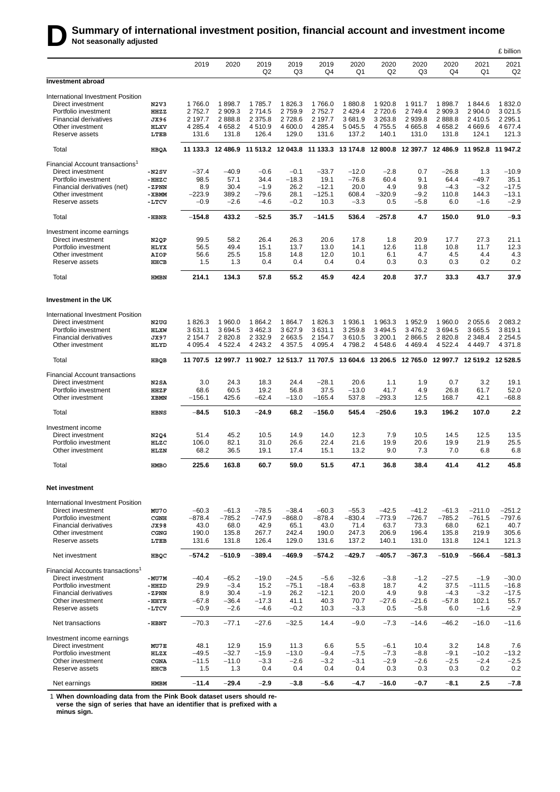# **D** Summary of international investment position, financial account and investment income<br>Not seasonally adjusted

|                                                      |                     |                   |                                              |                           |                     |                      |                                                                                                    |                         |                   |                   |                            | £ billion              |
|------------------------------------------------------|---------------------|-------------------|----------------------------------------------|---------------------------|---------------------|----------------------|----------------------------------------------------------------------------------------------------|-------------------------|-------------------|-------------------|----------------------------|------------------------|
|                                                      |                     | 2019              | 2020                                         | 2019<br>Q <sub>2</sub>    | 2019<br>Q3          | 2019<br>Q4           | 2020<br>Q1                                                                                         | 2020<br>Q2              | 2020<br>Q3        | 2020<br>Q4        | 2021<br>Q1                 | 2021<br>Q <sub>2</sub> |
| Investment abroad                                    |                     |                   |                                              |                           |                     |                      |                                                                                                    |                         |                   |                   |                            |                        |
| International Investment Position                    |                     |                   |                                              |                           |                     |                      |                                                                                                    |                         |                   |                   |                            |                        |
| Direct investment                                    | N2V3                | 1766.0            | 1898.7                                       | 1785.7                    | 1826.3              | 1766.0               | 1880.8                                                                                             | 1920.8                  | 1911.7            | 1898.7            | 1844.6                     | 1832.0                 |
| Portfolio investment<br><b>Financial derivatives</b> | HHZZ                | 2752.7<br>2 197.7 | 2 909.3<br>2888.8                            | 2 7 1 4 .5<br>2 3 7 5 . 8 | 2759.9<br>2 7 2 8.6 | 2 7 5 2.7<br>2 197.7 | 2 4 2 9.4<br>3681.9                                                                                | 2 7 2 0.6<br>3 2 6 3 .8 | 2 749.4<br>2939.8 | 2 909.3<br>2888.8 | 2 904.0<br>2410.5          | 3 0 21.5<br>2 2 9 5.1  |
| Other investment                                     | JX96<br><b>HLXV</b> | 4 2 8 5.4         | 4 6 58.2                                     | 4510.9                    | 4 600.0             | 4 2 8 5.4            | 5 0 4 5 .5                                                                                         | 4755.5                  | 4 6 6 5.8         | 4 6 58.2          | 4 6 6 9.6                  | 4 677.4                |
| Reserve assets                                       | LTEB                | 131.6             | 131.8                                        | 126.4                     | 129.0               | 131.6                | 137.2                                                                                              | 140.1                   | 131.0             | 131.8             | 124.1                      | 121.3                  |
| Total                                                | <b>HBQA</b>         |                   |                                              |                           |                     |                      | 11 133.3 12 486.9 11 513.2 12 043.8 11 133.3 13 174.8 12 800.8 12 397.7 12 486.9 11 952.8 11 947.2 |                         |                   |                   |                            |                        |
| Financial Account transactions <sup>1</sup>          |                     |                   |                                              |                           |                     |                      |                                                                                                    |                         |                   |                   |                            |                        |
| Direct investment                                    | $-N2SV$             | $-37.4$           | $-40.9$                                      | $-0.6$                    | $-0.1$              | $-33.7$              | $-12.0$                                                                                            | $-2.8$                  | 0.7               | $-26.8$           | 1.3                        | $-10.9$                |
| Portfolio investment                                 | $-HHZC$             | 98.5              | 57.1                                         | 34.4                      | $-18.3$             | 19.1                 | $-76.8$                                                                                            | 60.4                    | 9.1               | 64.4              | $-49.7$                    | 35.1                   |
| Financial derivatives (net)                          | -ZPNN               | 8.9               | 30.4                                         | $-1.9$                    | 26.2                | $-12.1$              | 20.0                                                                                               | 4.9                     | 9.8               | $-4.3$            | $-3.2$                     | $-17.5$                |
| Other investment                                     | -XBMM               | $-223.9$          | 389.2                                        | $-79.6$                   | 28.1                | $-125.1$             | 608.4                                                                                              | $-320.9$                | $-9.2$            | 110.8             | 144.3                      | $-13.1$                |
| Reserve assets                                       | -LTCV               | $-0.9$            | $-2.6$                                       | $-4.6$                    | $-0.2$              | 10.3                 | $-3.3$                                                                                             | 0.5                     | $-5.8$            | 6.0               | $-1.6$                     | $-2.9$                 |
| Total                                                | -HBNR               | $-154.8$          | 433.2                                        | $-52.5$                   | 35.7                | $-141.5$             | 536.4                                                                                              | $-257.8$                | 4.7               | 150.0             | 91.0                       | $-9.3$                 |
| Investment income earnings                           |                     |                   |                                              |                           |                     |                      |                                                                                                    |                         |                   |                   |                            |                        |
| Direct investment                                    | N <sub>2QP</sub>    | 99.5              | 58.2                                         | 26.4                      | 26.3                | 20.6                 | 17.8                                                                                               | 1.8                     | 20.9              | 17.7              | 27.3                       | 21.1                   |
| Portfolio investment                                 | HLYX                | 56.5              | 49.4                                         | 15.1                      | 13.7                | 13.0                 | 14.1                                                                                               | 12.6                    | 11.8              | 10.8              | 11.7                       | 12.3                   |
| Other investment                                     | AIOP                | 56.6              | 25.5                                         | 15.8                      | 14.8                | 12.0                 | 10.1                                                                                               | 6.1                     | 4.7               | 4.5               | 4.4                        | 4.3                    |
| Reserve assets                                       | HHCB                | 1.5               | 1.3                                          | 0.4                       | 0.4                 | 0.4                  | 0.4                                                                                                | 0.3                     | 0.3               | 0.3               | 0.2                        | 0.2                    |
| Total                                                | <b>HMBN</b>         | 214.1             | 134.3                                        | 57.8                      | 55.2                | 45.9                 | 42.4                                                                                               | 20.8                    | 37.7              | 33.3              | 43.7                       | 37.9                   |
| Investment in the UK                                 |                     |                   |                                              |                           |                     |                      |                                                                                                    |                         |                   |                   |                            |                        |
| International Investment Position                    |                     |                   |                                              |                           |                     |                      |                                                                                                    |                         |                   |                   |                            |                        |
| Direct investment                                    | N2UG                | 1826.3            | 1960.0                                       | 1864.2                    | 1864.7              | 1826.3               | 1936.1                                                                                             | 1963.3                  | 1952.9            | 1 960.0           | 2 0 5 5.6                  | 2 083.2                |
| Portfolio investment                                 | <b>HLXW</b>         | 3631.1            | 3 6 9 4.5                                    | 3 4 6 2.3                 | 3627.9              | 3631.1               | 3 2 5 9.8                                                                                          | 3 4 9 4.5               | 3 4 7 6.2         | 3694.5            | 3665.5                     | 3819.1                 |
| <b>Financial derivatives</b>                         | <b>JX97</b>         | 2 154.7           | 2 8 2 0.8                                    | 2 3 3 2 . 9               | 2 663.5             | 2 1 5 4 . 7          | 3610.5                                                                                             | 3 200.1                 | 2866.5            | 2 8 2 0.8         | 2 3 4 8 . 4                | 2 2 5 4 . 5            |
| Other investment                                     | HLYD                | 4 0 9 5.4         | 4 5 22.4                                     | 4 2 4 3 .2                | 4 3 5 7 . 5         | 4 0 9 5.4            | 4 7 9 8.2                                                                                          | 4 5 4 8 . 6             | 4 4 6 9.4         | 4 5 2 2.4         | 4 4 4 9.7                  | 4 371.8                |
| Total                                                | HBQB                | 11 707.5          | 12 997.7 11 902.7 12 513.7 11 707.5 13 604.6 |                           |                     |                      |                                                                                                    | 13 206.5                | 12765.0           |                   | 12 997.7 12 519.2 12 528.5 |                        |
| <b>Financial Account transactions</b>                |                     |                   |                                              |                           |                     |                      |                                                                                                    |                         |                   |                   |                            |                        |
| Direct investment                                    | N2SA                | 3.0               | 24.3                                         | 18.3                      | 24.4                | $-28.1$              | 20.6                                                                                               | 1.1                     | 1.9               | 0.7               | 3.2                        | 19.1                   |
| Portfolio investment                                 | <b>HHZF</b>         | 68.6              | 60.5                                         | 19.2                      | 56.8                | 37.5                 | $-13.0$                                                                                            | 41.7                    | 4.9               | 26.8              | 61.7                       | 52.0                   |
| Other investment                                     | <b>XBMN</b>         | $-156.1$          | 425.6                                        | $-62.4$                   | $-13.0$             | $-165.4$             | 537.8                                                                                              | $-293.3$                | 12.5              | 168.7             | 42.1                       | $-68.8$                |
| Total                                                | <b>HBNS</b>         | $-84.5$           | 510.3                                        | -24.9                     | 68.2                | $-156.0$             | 545.4                                                                                              | $-250.6$                | 19.3              | 196.2             | 107.0                      | 2.2                    |
| Investment income                                    |                     |                   |                                              |                           |                     |                      |                                                                                                    |                         |                   |                   |                            |                        |
| Direct investment                                    | N2Q4                | 51.4              | 45.2                                         | 10.5                      | 14.9                | 14.0                 | 12.3                                                                                               | 7.9                     | 10.5              | 14.5              | 12.5                       | 13.5                   |
| Portfolio investment                                 | HLZC                | 106.0             | 82.1                                         | 31.0                      | 26.6                | 22.4                 | 21.6                                                                                               | 19.9                    | 20.6              | 19.9              | 21.9                       | 25.5                   |
| Other investment                                     | HLZN                | 68.2              | 36.5                                         | 19.1                      | 17.4                | 15.1                 | 13.2                                                                                               | 9.0                     | 7.3               | 7.0               | 6.8                        | 6.8                    |
| Total                                                | <b>HMBO</b>         | 225.6             | 163.8                                        | 60.7                      | 59.0                | 51.5                 | 47.1                                                                                               | 36.8                    | 38.4              | 41.4              | 41.2                       | 45.8                   |
| Net investment                                       |                     |                   |                                              |                           |                     |                      |                                                                                                    |                         |                   |                   |                            |                        |
| International Investment Position                    |                     |                   |                                              |                           |                     |                      |                                                                                                    |                         |                   |                   |                            |                        |
| Direct investment                                    | MU70                | $-60.3$           | $-61.3$                                      | $-78.5$                   | $-38.4$             | $-60.3$              | $-55.3$                                                                                            | $-42.5$                 | $-41.2$           | $-61.3$           | $-211.0$                   | $-251.2$               |
| Portfolio investment                                 | <b>CGNH</b>         | $-878.4$          | $-785.2$                                     | $-747.9$                  | $-868.0$            | $-878.4$             | $-830.4$                                                                                           | $-773.9$                | $-726.7$          | $-785.2$          | $-761.5$                   | $-797.6$               |
| Financial derivatives                                | <b>JX98</b>         | 43.0              | 68.0                                         | 42.9                      | 65.1                | 43.0                 | 71.4                                                                                               | 63.7                    | 73.3              | 68.0              | 62.1                       | 40.7                   |
| Other investment<br>Reserve assets                   | CGNG<br>LTEB        | 190.0<br>131.6    | 135.8<br>131.8                               | 267.7<br>126.4            | 242.4<br>129.0      | 190.0<br>131.6       | 247.3<br>137.2                                                                                     | 206.9<br>140.1          | 196.4<br>131.0    | 135.8<br>131.8    | 219.9<br>124.1             | 305.6<br>121.3         |
| Net investment                                       | HBQC                | $-574.2$          | $-510.9$                                     | $-389.4$                  | $-469.9$            | $-574.2$             | $-429.7$                                                                                           | $-405.7$                | $-367.3$          | $-510.9$          | $-566.4$                   | $-581.3$               |
| Financial Accounts transactions <sup>1</sup>         |                     |                   |                                              |                           |                     |                      |                                                                                                    |                         |                   |                   |                            |                        |
| Direct investment                                    | $-MU7M$             | $-40.4$           | $-65.2$                                      | $-19.0$                   | $-24.5$             | $-5.6$               | $-32.6$                                                                                            | $-3.8$                  | $-1.2$            | $-27.5$           | $-1.9$                     | $-30.0$                |
| Portfolio investment                                 | -HHZD               | 29.9              | $-3.4$                                       | 15.2                      | $-75.1$             | $-18.4$              | $-63.8$                                                                                            | 18.7                    | 4.2               | 37.5              | $-111.5$                   | $-16.8$                |
| <b>Financial derivatives</b>                         | -ZPNN               | 8.9               | 30.4                                         | $-1.9$                    | 26.2                | $-12.1$              | 20.0                                                                                               | 4.9                     | 9.8               | $-4.3$            | $-3.2$                     | $-17.5$                |
| Other investment                                     | $-HHYR$             | $-67.8$           | $-36.4$                                      | $-17.3$                   | 41.1                | 40.3                 | 70.7                                                                                               | $-27.6$                 | $-21.6$           | $-57.8$           | 102.1                      | 55.7                   |
| Reserve assets                                       | -LTCV               | $-0.9$            | $-2.6$                                       | $-4.6$                    | $-0.2$              | 10.3                 | $-3.3$                                                                                             | 0.5                     | $-5.8$            | 6.0               | $-1.6$                     | $-2.9$                 |
| Net transactions                                     | $-HBNT$             | $-70.3$           | $-77.1$                                      | $-27.6$                   | $-32.5$             | 14.4                 | $-9.0$                                                                                             | $-7.3$                  | $-14.6$           | $-46.2$           | $-16.0$                    | $-11.6$                |
| Investment income earnings                           |                     |                   |                                              |                           |                     |                      |                                                                                                    |                         |                   |                   |                            |                        |
| Direct investment<br>Portfolio investment            | MU7E<br>HLZX        | 48.1<br>$-49.5$   | 12.9<br>$-32.7$                              | 15.9<br>$-15.9$           | 11.3<br>$-13.0$     | 6.6<br>$-9.4$        | 5.5<br>$-7.5$                                                                                      | $-6.1$<br>$-7.3$        | 10.4<br>$-8.8$    | 3.2<br>$-9.1$     | 14.8<br>$-10.2$            | 7.6<br>$-13.2$         |
| Other investment                                     | CGNA                | $-11.5$           | $-11.0$                                      | $-3.3$                    | $-2.6$              | $-3.2$               | $-3.1$                                                                                             | $-2.9$                  | $-2.6$            | $-2.5$            | $-2.4$                     | $-2.5$                 |
| Reserve assets                                       | HHCB                | 1.5               | 1.3                                          | 0.4                       | 0.4                 | 0.4                  | 0.4                                                                                                | 0.3                     | 0.3               | 0.3               | 0.2                        | 0.2                    |
| Net earnings                                         | <b>HMBM</b>         | $-11.4$           | $-29.4$                                      | $-2.9$                    | $-3.8$              | $-5.6$               | $-4.7$                                                                                             | $-16.0$                 | $-0.7$            | $-8.1$            | 2.5                        | $-7.8$                 |

1 **When downloading data from the Pink Book dataset users should reverse the sign of series that have an identifier that is prefixed with a minus sign.**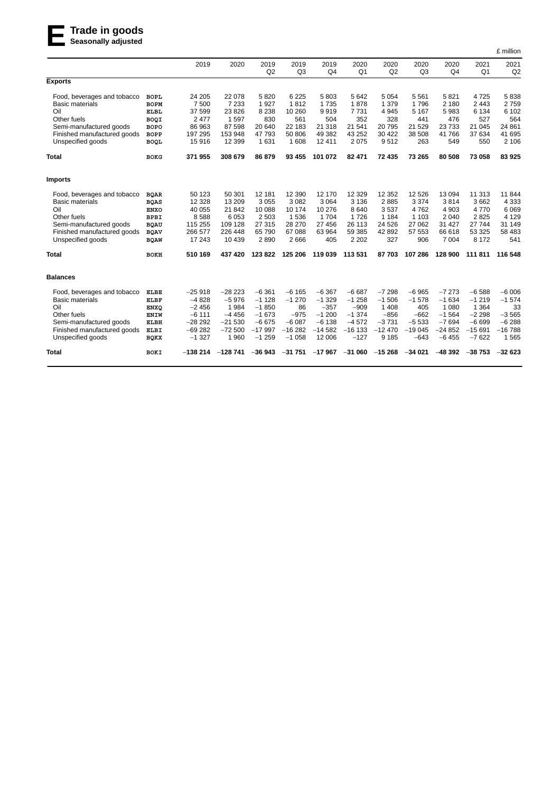# **ETrade in goods Seasonally adjusted**

|                             |             |           |           |            |                        |                        |                        |            |                        |            |                        | £ million  |
|-----------------------------|-------------|-----------|-----------|------------|------------------------|------------------------|------------------------|------------|------------------------|------------|------------------------|------------|
|                             |             | 2019      | 2020      | 2019<br>Q2 | 2019<br>Q <sub>3</sub> | 2019<br>Q <sub>4</sub> | 2020<br>Q <sub>1</sub> | 2020<br>Q2 | 2020<br>Q <sub>3</sub> | 2020<br>Q4 | 2021<br>Q <sub>1</sub> | 2021<br>Q2 |
| <b>Exports</b>              |             |           |           |            |                        |                        |                        |            |                        |            |                        |            |
| Food, beverages and tobacco | <b>BOPL</b> | 24 205    | 22 078    | 5820       | 6 2 2 5                | 5803                   | 5642                   | 5 0 5 4    | 5 5 6 1                | 5821       | 4725                   | 5838       |
| <b>Basic materials</b>      | <b>BOPM</b> | 7 500     | 7 2 3 3   | 1927       | 1812                   | 1735                   | 1878                   | 1 3 7 9    | 1796                   | 2 180      | 2443                   | 2759       |
| Oil                         | <b>ELBL</b> | 37 599    | 23 8 26   | 8 2 3 8    | 10 260                 | 9919                   | 7731                   | 4 9 4 5    | 5 1 6 7                | 5983       | 6 1 3 4                | 6 1 0 2    |
| Other fuels                 | BOQI        | 2477      | 1 5 9 7   | 830        | 561                    | 504                    | 352                    | 328        | 441                    | 476        | 527                    | 564        |
| Semi-manufactured goods     | <b>BOPO</b> | 86 963    | 87 598    | 20 640     | 22 183                 | 21 318                 | 21 541                 | 20 795     | 21 5 29                | 23733      | 21 0 45                | 24 861     |
| Finished manufactured goods | <b>BOPP</b> | 197 295   | 153 948   | 47 793     | 50 806                 | 49 382                 | 43 25 2                | 30 4 22    | 38 508                 | 41766      | 37 634                 | 41 695     |
| Unspecified goods           | <b>BOQL</b> | 15916     | 12 399    | 1 631      | 1 608                  | 12411                  | 2075                   | 9512       | 263                    | 549        | 550                    | 2 1 0 6    |
| <b>Total</b>                | <b>BOKG</b> | 371 955   | 308 679   | 86 879     | 93 455                 | 101 072                | 82 471                 | 72 435     | 73 265                 | 80 508     | 73 058                 | 83925      |
| <b>Imports</b>              |             |           |           |            |                        |                        |                        |            |                        |            |                        |            |
| Food, beverages and tobacco | <b>BQAR</b> | 50 123    | 50 301    | 12 181     | 12 3 9 0               | 12 170                 | 12 3 29                | 12 3 52    | 12 5 26                | 13 094     | 11 313                 | 11844      |
| <b>Basic materials</b>      | <b>BQAS</b> | 12 3 28   | 13 209    | 3 0 5 5    | 3082                   | 3 0 6 4                | 3 1 3 6                | 2885       | 3 3 7 4                | 3814       | 3662                   | 4 3 3 3    |
| Oil                         | <b>ENXO</b> | 40 055    | 21 842    | 10 088     | 10 174                 | 10 276                 | 8640                   | 3537       | 4762                   | 4 9 0 3    | 4770                   | 6069       |
| Other fuels                 | <b>BPBI</b> | 8588      | 6 0 5 3   | 2 5 0 3    | 1536                   | 1704                   | 1726                   | 1 1 8 4    | 1 1 0 3                | 2 0 4 0    | 2825                   | 4 1 2 9    |
| Semi-manufactured goods     | <b>BQAU</b> | 115 255   | 109 128   | 27 315     | 28 270                 | 27 456                 | 26 113                 | 24 5 26    | 27 062                 | 31 427     | 27744                  | 31 149     |
| Finished manufactured goods | <b>BQAV</b> | 266 577   | 226 448   | 65 790     | 67088                  | 63 964                 | 59 385                 | 42 892     | 57 553                 | 66 618     | 53 325                 | 58 483     |
| Unspecified goods           | <b>BQAW</b> | 17 243    | 10 439    | 2890       | 2666                   | 405                    | 2 2 0 2                | 327        | 906                    | 7 0 0 4    | 8 1 7 2                | 541        |
| <b>Total</b>                | BOKH        | 510 169   | 437 420   | 123 822    | 125 206                | 119 039                | 113 531                | 87 703     | 107 286                | 128 900    | 111811                 | 116 548    |
| <b>Balances</b>             |             |           |           |            |                        |                        |                        |            |                        |            |                        |            |
| Food, beverages and tobacco | <b>ELBE</b> | $-25918$  | $-28223$  | $-6361$    | $-6165$                | $-6367$                | $-6687$                | $-7298$    | $-6965$                | $-7273$    | $-6588$                | $-6006$    |
| <b>Basic materials</b>      | ELBF        | $-4828$   | $-5976$   | $-1128$    | $-1270$                | $-1329$                | $-1258$                | $-1506$    | $-1578$                | $-1634$    | $-1219$                | $-1574$    |
| Oil                         | <b>ENXQ</b> | $-2456$   | 1984      | $-1850$    | 86                     | $-357$                 | $-909$                 | 1 4 0 8    | 405                    | 1 0 8 0    | 1 3 6 4                | 33         |
| Other fuels                 | ENIW        | $-6111$   | $-4456$   | $-1673$    | $-975$                 | $-1200$                | $-1374$                | $-856$     | $-662$                 | $-1564$    | $-2298$                | $-3565$    |
| Semi-manufactured goods     | ELBH        | $-28292$  | $-21530$  | $-6675$    | $-6087$                | $-6138$                | $-4572$                | $-3731$    | $-5533$                | $-7694$    | $-6699$                | $-6288$    |
| Finished manufactured goods | <b>ELBI</b> | $-69282$  | $-72500$  | $-17997$   | $-16282$               | $-14582$               | $-16$ 133              | $-12470$   | $-19045$               | $-24852$   | $-15691$               | $-16788$   |
| Unspecified goods           | <b>BQKX</b> | $-1327$   | 1 9 6 0   | $-1259$    | $-1058$                | 12 006                 | $-127$                 | 9 1 8 5    | $-643$                 | $-6455$    | $-7622$                | 1565       |
| Total                       | BOKI        | $-138214$ | $-128741$ | $-36943$   | $-31.751$              |                        | $-17967 -31060$        | $-15268$   | $-34021$               | $-48392$   | $-38753$               | $-32623$   |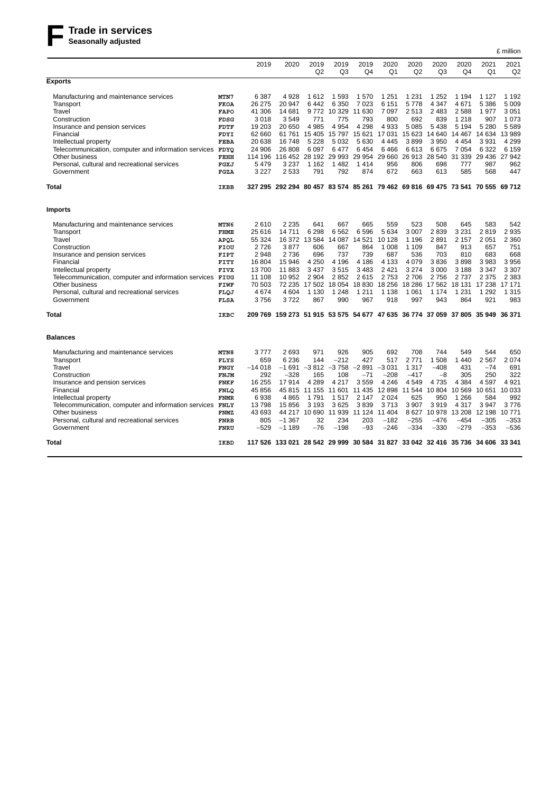

|                                                                                                                                                                                                                                                                                                    |                                                                                                                        |                                                                                                 |                                                                                                  |                                                                                           |                                                                                              |                                                                                          |                                                                                                              |                                                                                                   |                                                                                          |                                                                                                    |                                                                                            | £ million                                                                                |
|----------------------------------------------------------------------------------------------------------------------------------------------------------------------------------------------------------------------------------------------------------------------------------------------------|------------------------------------------------------------------------------------------------------------------------|-------------------------------------------------------------------------------------------------|--------------------------------------------------------------------------------------------------|-------------------------------------------------------------------------------------------|----------------------------------------------------------------------------------------------|------------------------------------------------------------------------------------------|--------------------------------------------------------------------------------------------------------------|---------------------------------------------------------------------------------------------------|------------------------------------------------------------------------------------------|----------------------------------------------------------------------------------------------------|--------------------------------------------------------------------------------------------|------------------------------------------------------------------------------------------|
|                                                                                                                                                                                                                                                                                                    |                                                                                                                        | 2019                                                                                            | 2020                                                                                             | 2019<br>Q2                                                                                | 2019<br>Q3                                                                                   | 2019<br>Q <sub>4</sub>                                                                   | 2020<br>Q1                                                                                                   | 2020<br>Q2                                                                                        | 2020<br>Q <sub>3</sub>                                                                   | 2020<br>Q4                                                                                         | 2021<br>O <sub>1</sub>                                                                     | 2021<br>Q2                                                                               |
| <b>Exports</b>                                                                                                                                                                                                                                                                                     |                                                                                                                        |                                                                                                 |                                                                                                  |                                                                                           |                                                                                              |                                                                                          |                                                                                                              |                                                                                                   |                                                                                          |                                                                                                    |                                                                                            |                                                                                          |
| Manufacturing and maintenance services<br>Transport<br>Travel                                                                                                                                                                                                                                      | MTN7<br><b>FKOA</b><br><b>FAPO</b>                                                                                     | 6 3 8 7<br>26 275<br>41 306                                                                     | 4928<br>20 947<br>14 681                                                                         | 1612<br>6442<br>9772                                                                      | 1593<br>6 3 5 0<br>10 329                                                                    | 1570<br>7 0 2 3<br>11 630                                                                | 1 2 5 1<br>6 1 5 1<br>7 0 9 7                                                                                | 1 2 3 1<br>5778<br>2513                                                                           | 1 2 5 2<br>4 3 4 7<br>2 4 8 3                                                            | 1 1 9 4<br>4671<br>2588                                                                            | 1 1 2 7<br>5 3 8 6<br>1977                                                                 | 1 1 9 2<br>5 0 0 9<br>3 0 5 1                                                            |
| Construction<br>Insurance and pension services<br>Financial<br>Intellectual property                                                                                                                                                                                                               | FDSG<br>FDTF<br><b>FDYI</b><br><b>FEBA</b>                                                                             | 3018<br>19 203<br>62 660<br>20 638                                                              | 3549<br>20 650<br>61 761<br>16748                                                                | 771<br>4 985<br>15 405<br>5 2 2 8                                                         | 775<br>4 9 5 4<br>15 797<br>5 0 3 2                                                          | 793<br>4 2 9 8<br>15 621<br>5 6 3 0                                                      | 800<br>4 9 3 3<br>17 031<br>4 4 4 5                                                                          | 692<br>5 0 8 5<br>15 623<br>3899                                                                  | 839<br>5438<br>14 640<br>3950                                                            | 1 2 1 8<br>5 1 9 4<br>14 4 67<br>4 4 5 4                                                           | 907<br>5 2 8 0<br>3931                                                                     | 1073<br>5589<br>14 634 13 989<br>4 2 9 9                                                 |
| Telecommunication, computer and information services FDYQ<br>Other business<br>Personal, cultural and recreational services<br>Government                                                                                                                                                          | FEHH<br>FGXJ<br>FGZA                                                                                                   | 24 906<br>114 196<br>5 4 7 9<br>3 2 2 7                                                         | 26 808<br>116 452<br>3 2 3 7<br>2 5 3 3                                                          | 6 0 9 7<br>28 192<br>1 1 6 2<br>791                                                       | 6477<br>1482<br>792                                                                          | 6454<br>29 993 29 954<br>1414<br>874                                                     | 6466<br>29 660<br>956<br>672                                                                                 | 6613<br>26 913<br>806<br>663                                                                      | 6675<br>28 540<br>698<br>613                                                             | 7054<br>31 339<br>777<br>585                                                                       | 6 3 2 2<br>29 4 36<br>987<br>568                                                           | 6 1 5 9<br>27942<br>962<br>447                                                           |
| <b>Total</b>                                                                                                                                                                                                                                                                                       | IKBB                                                                                                                   |                                                                                                 | 327 295 292 294 80 457 83 574 85 261 79 462 69 816 69 475 73 541 70 555 69 712                   |                                                                                           |                                                                                              |                                                                                          |                                                                                                              |                                                                                                   |                                                                                          |                                                                                                    |                                                                                            |                                                                                          |
| <b>Imports</b>                                                                                                                                                                                                                                                                                     |                                                                                                                        |                                                                                                 |                                                                                                  |                                                                                           |                                                                                              |                                                                                          |                                                                                                              |                                                                                                   |                                                                                          |                                                                                                    |                                                                                            |                                                                                          |
| Manufacturing and maintenance services<br>Transport<br>Travel<br>Construction<br>Insurance and pension services                                                                                                                                                                                    | MTN6<br><b>FHME</b><br>APQL<br>FIOU<br>FIPT                                                                            | 2610<br>25 616<br>55 324<br>2726<br>2948                                                        | 2 2 3 5<br>14 711<br>16 372<br>3877<br>2 7 3 6                                                   | 641<br>6 2 9 8<br>606<br>696                                                              | 667<br>6 5 6 2<br>13 584 14 087<br>667<br>737                                                | 665<br>6596<br>14 5 21<br>864<br>739                                                     | 559<br>5 6 3 4<br>10 128<br>1 0 0 8<br>687                                                                   | 523<br>3 0 0 7<br>1 1 9 6<br>1 1 0 9<br>536                                                       | 508<br>2839<br>2891<br>847<br>703                                                        | 645<br>3 2 3 1<br>2 1 5 7<br>913<br>810                                                            | 583<br>2819<br>2051<br>657<br>683                                                          | 542<br>2935<br>2 3 6 0<br>751<br>668                                                     |
| Financial<br>Intellectual property<br>Telecommunication, computer and information services FIUG<br>Other business<br>Personal, cultural and recreational services                                                                                                                                  | FITY<br>FIVX<br>FIWF<br>FLQJ                                                                                           | 16 804<br>13700<br>11 108<br>70 503<br>4674                                                     | 15 946<br>11883<br>10 952<br>72 235<br>4 604                                                     | 4 2 5 0<br>3437<br>2 9 0 4<br>1 1 3 0                                                     | 4 1 9 6<br>3515<br>2852<br>17 502 18 054<br>1 2 4 8                                          | 4 1 8 6<br>3 4 8 3<br>2615<br>1 2 1 1                                                    | 4 1 3 3<br>2421<br>2753<br>18 830 18 256<br>1 1 3 8                                                          | 4 0 7 9<br>3 2 7 4<br>2706<br>18 28 6<br>1 0 6 1                                                  | 3836<br>3 0 0 0<br>2756<br>17562<br>1 1 7 4                                              | 3898<br>3 1 8 8<br>2737<br>18 131<br>1 2 3 1                                                       | 3983<br>3 3 4 7<br>2 3 7 5<br>17 238<br>1 2 9 2                                            | 3956<br>3 3 0 7<br>2 3 8 3<br>17 171<br>1 3 1 5                                          |
| Government                                                                                                                                                                                                                                                                                         | FLSA                                                                                                                   | 3756                                                                                            | 3722                                                                                             | 867                                                                                       | 990                                                                                          | 967                                                                                      | 918                                                                                                          | 997                                                                                               | 943                                                                                      | 864                                                                                                | 921                                                                                        | 983                                                                                      |
| Total                                                                                                                                                                                                                                                                                              | IKBC                                                                                                                   |                                                                                                 | 209 769 159 273 51 915 53 575 54 677 47 635 36 774 37 059 37 805 35 949 36 371                   |                                                                                           |                                                                                              |                                                                                          |                                                                                                              |                                                                                                   |                                                                                          |                                                                                                    |                                                                                            |                                                                                          |
| <b>Balances</b>                                                                                                                                                                                                                                                                                    |                                                                                                                        |                                                                                                 |                                                                                                  |                                                                                           |                                                                                              |                                                                                          |                                                                                                              |                                                                                                   |                                                                                          |                                                                                                    |                                                                                            |                                                                                          |
| Manufacturing and maintenance services<br>Transport<br>Travel<br>Construction<br>Insurance and pension services<br>Financial<br>Intellectual property<br>Telecommunication, computer and information services FNLY<br>Other business<br>Personal, cultural and recreational services<br>Government | MTN8<br>FLYS<br>FNGY<br>FNJM<br><b>FNKF</b><br><b>FNLQ</b><br><b>FNMR</b><br><b>FNMZ</b><br><b>FNRB</b><br><b>FNRU</b> | 3 777<br>659<br>$-14018$<br>292<br>16 255<br>45 856<br>6938<br>13798<br>43 693<br>805<br>$-529$ | 2693<br>6 2 3 6<br>$-1691$<br>$-328$<br>17914<br>45 815<br>4865<br>15 856<br>$-1.367$<br>$-1189$ | 971<br>144<br>165<br>4 2 8 9<br>11 155<br>1791<br>3 1 9 3<br>44 217 10 690<br>32<br>$-76$ | 926<br>$-212$<br>$-3812 - 3758$<br>108<br>4 2 1 7<br>11 601<br>1517<br>3625<br>234<br>$-198$ | 905<br>427<br>$-2891$<br>$-71$<br>3559<br>2 1 4 7<br>3839<br>11 939 11 124<br>203<br>-93 | 692<br>517<br>$-3031$<br>$-208$<br>4 2 4 6<br>11 435 12 898<br>2 0 2 4<br>3713<br>11 404<br>$-182$<br>$-246$ | 708<br>2 7 7 1<br>1 3 1 7<br>$-417$<br>4549<br>11 544<br>625<br>3 9 0 7<br>8627<br>$-255$<br>-334 | 744<br>1508<br>$-408$<br>$-8$<br>4735<br>10804<br>950<br>3919<br>10978<br>-476<br>$-330$ | 549<br>1440<br>431<br>305<br>4 3 8 4<br>10 569<br>1 2 6 6<br>4 3 1 7<br>13 208<br>$-454$<br>$-279$ | 544<br>2567<br>$-74$<br>250<br>4597<br>10 651<br>584<br>3947<br>12 198<br>$-305$<br>$-353$ | 650<br>2074<br>691<br>322<br>4921<br>10 0 33<br>992<br>3776<br>10771<br>$-353$<br>$-536$ |
| Total                                                                                                                                                                                                                                                                                              | IKBD                                                                                                                   |                                                                                                 | 117 526 133 021 28 542 29 999 30 584 31 827 33 042 32 416 35 736 34 606 33 341                   |                                                                                           |                                                                                              |                                                                                          |                                                                                                              |                                                                                                   |                                                                                          |                                                                                                    |                                                                                            |                                                                                          |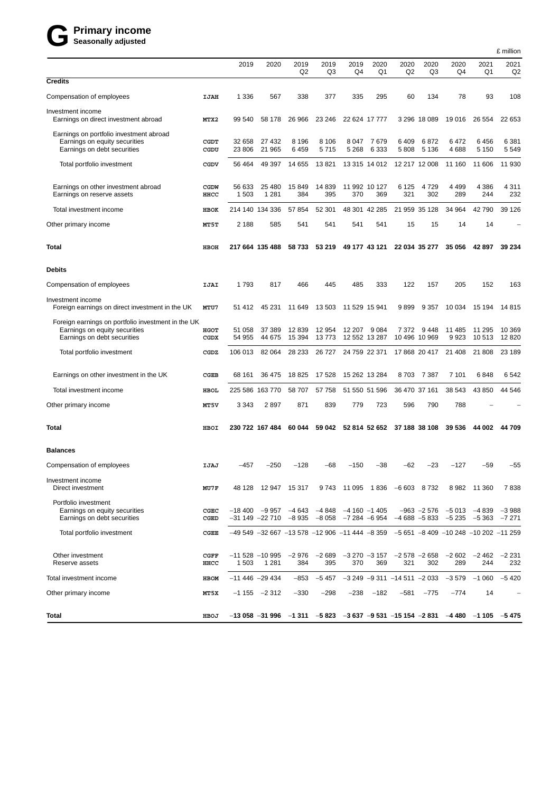# $G$  Primary income<br>
Seasonally adjusted

|                                                                                                                    |              |                  |                                                                                                             |                        |                  |                         |                      |                                        |                        |                                                   |                  | £ million         |
|--------------------------------------------------------------------------------------------------------------------|--------------|------------------|-------------------------------------------------------------------------------------------------------------|------------------------|------------------|-------------------------|----------------------|----------------------------------------|------------------------|---------------------------------------------------|------------------|-------------------|
|                                                                                                                    |              | 2019             | 2020                                                                                                        | 2019<br>Q <sub>2</sub> | 2019<br>Q3       | 2019<br>Q4              | 2020<br>Q1           | 2020<br>Q2                             | 2020<br>Q3             | 2020<br>Q4                                        | 2021<br>Q1       | 2021<br>Q2        |
| <b>Credits</b>                                                                                                     |              |                  |                                                                                                             |                        |                  |                         |                      |                                        |                        |                                                   |                  |                   |
| Compensation of employees                                                                                          | IJAH         | 1 3 3 6          | 567                                                                                                         | 338                    | 377              | 335                     | 295                  | 60                                     | 134                    | 78                                                | 93               | 108               |
| Investment income<br>Earnings on direct investment abroad                                                          | MTX2         | 99 540           | 58 178                                                                                                      | 26 966                 | 23 246           | 22 624 17 777           |                      |                                        | 3 296 18 089           | 19 016                                            | 26 554           | 22 653            |
| Earnings on portfolio investment abroad<br>Earnings on equity securities<br>Earnings on debt securities            | CGDT<br>CGDU | 32 658<br>23 806 | 27 432<br>21 965                                                                                            | 8 1 9 6<br>6459        | 8 1 0 6<br>5715  | 8047<br>5 2 6 8         | 7679<br>6 3 3 3      | 6409<br>5 8 0 8                        | 6872<br>5 1 3 6        | 6472<br>4688                                      | 6456<br>5 1 5 0  | 6 3 8 1<br>5549   |
| Total portfolio investment                                                                                         | CGDV         | 56 4 64          | 49 397                                                                                                      | 14 655                 | 13821            |                         | 13 315 14 012        |                                        | 12 217 12 008          | 11 160                                            | 11 606           | 11 930            |
| Earnings on other investment abroad<br>Earnings on reserve assets                                                  | CGDW<br>HHCC | 56 633<br>1 503  | 25 480<br>1 2 8 1                                                                                           | 15 849<br>384          | 14 839<br>395    | 370                     | 11 992 10 127<br>369 | 6 1 2 5<br>321                         | 4 7 2 9<br>302         | 4 4 9 9<br>289                                    | 4 3 8 6<br>244   | 4 3 1 1<br>232    |
| Total investment income                                                                                            | HBOK         |                  | 214 140 134 336                                                                                             | 57 854                 | 52 301           |                         | 48 301 42 285        | 21 959 35 128                          |                        | 34 964                                            | 42 790           | 39 1 26           |
| Other primary income                                                                                               | MT5T         | 2 1 8 8          | 585                                                                                                         | 541                    | 541              | 541                     | 541                  | 15                                     | 15                     | 14                                                | 14               |                   |
| Total                                                                                                              | HBOH         |                  | 217 664 135 488                                                                                             | 58 733                 | 53 219           |                         | 49 177 43 121        |                                        | 22 034 35 277          | 35 056                                            | 42 897           | 39 234            |
| <b>Debits</b>                                                                                                      |              |                  |                                                                                                             |                        |                  |                         |                      |                                        |                        |                                                   |                  |                   |
| Compensation of employees                                                                                          | IJAI         | 1793             | 817                                                                                                         | 466                    | 445              | 485                     | 333                  | 122                                    | 157                    | 205                                               | 152              | 163               |
| Investment income<br>Foreign earnings on direct investment in the UK                                               | MTU7         | 51 412           | 45 231                                                                                                      | 11 649                 | 13 503           | 11 529 15 941           |                      | 9899                                   | 9 3 5 7                | 10 0 34                                           | 15 194           | 14815             |
| Foreign earnings on portfolio investment in the UK<br>Earnings on equity securities<br>Earnings on debt securities | HGOT<br>CGDX | 51 058<br>54 955 | 37 389<br>44 675                                                                                            | 12 839<br>15 394       | 12 9 54<br>13773 | 12 207<br>12 552 13 287 | 9 0 8 4              | 7 3 7 2                                | 9 448<br>10 496 10 969 | 11 485<br>9923                                    | 11 295<br>10 513 | 10 369<br>12 8 20 |
| Total portfolio investment                                                                                         | CGDZ         | 106 013          | 82 064                                                                                                      | 28 233                 | 26 7 27          | 24 759 22 371           |                      |                                        | 17 868 20 417          | 21 408                                            | 21 808           | 23 189            |
| Earnings on other investment in the UK                                                                             | <b>CGEB</b>  | 68 161           | 36 475                                                                                                      | 18 825                 | 17 528           |                         | 15 262 13 284        | 8703                                   | 7 387                  | 7 101                                             | 6848             | 6542              |
| Total investment income                                                                                            | <b>HBOL</b>  | 225 586          | 163770                                                                                                      | 58 707                 | 57 758           |                         | 51 550 51 596        | 36 470 37 161                          |                        | 38 543                                            | 43 850           | 44 546            |
| Other primary income                                                                                               | <b>MT5V</b>  | 3 3 4 3          | 2897                                                                                                        | 871                    | 839              | 779                     | 723                  | 596                                    | 790                    | 788                                               |                  |                   |
| Total                                                                                                              | HBOI         |                  | 230 722 167 484                                                                                             | 60 044                 | 59 042           |                         | 52 814 52 652        |                                        | 37 188 38 108          | 39 536                                            | 44 002           | 44709             |
| <b>Balances</b>                                                                                                    |              |                  |                                                                                                             |                        |                  |                         |                      |                                        |                        |                                                   |                  |                   |
| Compensation of employees                                                                                          | <b>IJAJ</b>  | -457             | $-250$                                                                                                      | -128                   | -68              | $-150$                  | $-38$                | $-62$                                  | $-23$                  | $-127$                                            | -59              | $-55$             |
| Investment income<br>Direct investment                                                                             | MU7F         |                  | 48 128 12 947 15 317                                                                                        |                        |                  |                         |                      | 9 743 11 095 1 836 -6 603 8 732        |                        |                                                   | 8 982 11 360     | 7838              |
| Portfolio investment<br>Earnings on equity securities<br>Earnings on debt securities                               | CGEC<br>CGED |                  | $-18400$ $-9957$ $-4643$ $-4848$ $-4160$ $-1405$<br>$-31$ 149 $-22$ 710 $-8$ 935 $-8$ 058 $-7$ 284 $-6$ 954 |                        |                  |                         |                      | $-4688 - 5833$                         |                        | $-963$ $-2576$ $-5013$ $-4839$ $-3988$<br>$-5235$ | -5 363 -7 271    |                   |
| Total portfolio investment                                                                                         | CGEE         |                  | $-49549$ $-32667$ $-13578$ $-12906$ $-11444$ $-8359$ $-5651$ $-8409$ $-10248$ $-10202$ $-11259$             |                        |                  |                         |                      |                                        |                        |                                                   |                  |                   |
| Other investment<br>Reserve assets                                                                                 | CGFF<br>HHCC | 1 503            | $-11528 - 10995$<br>1 2 8 1                                                                                 | –2 976<br>384          | –2 689<br>395    | 370                     | 369                  | $-3270$ $-3157$ $-2578$ $-2658$<br>321 | 302                    | $-2602$<br>289                                    | -2 462<br>244    | $-2231$<br>232    |
| Total investment income                                                                                            | HBOM         | $-11446 -29434$  |                                                                                                             | $-853$                 | $-5457$          |                         |                      | $-3249 - 9311 - 14511 - 2033 - 3579$   |                        |                                                   | $-1060$          | $-5420$           |
| Other primary income                                                                                               | MT5X         |                  | $-1155 - 2312$                                                                                              | $-330$                 | $-298$           | $-238$                  | $-182$               | $-581$                                 | $-775$                 | $-774$                                            | 14               |                   |
| Total                                                                                                              | HBOJ         |                  | $-13$ 058 $-31$ 996 $-1$ 311 $-5$ 823 $-3$ 637 $-9$ 531 $-15$ 154 $-2$ 831 $-4$ 480 $-1$ 105 $-5$ 475       |                        |                  |                         |                      |                                        |                        |                                                   |                  |                   |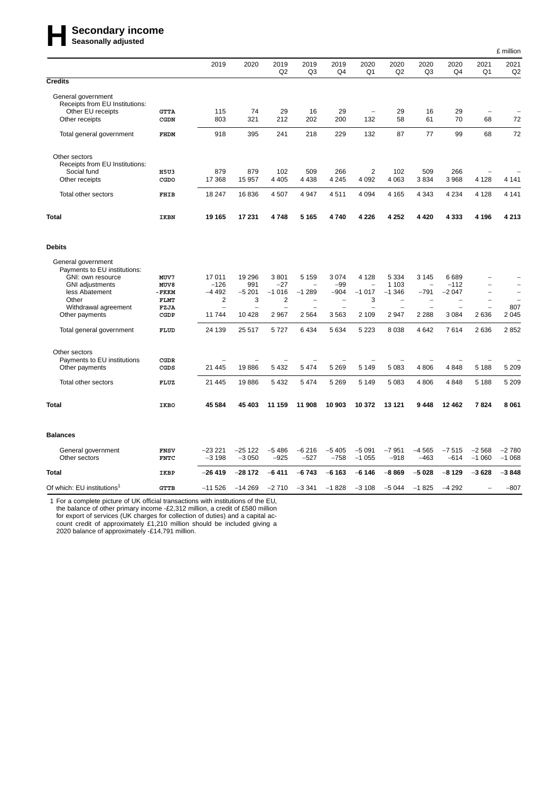# **Here** Secondary income<br>
Seasonally adjusted

|                                                                                                                                                                                                                     |                                                               |                                                    |                                                     |                                                                                                  |                                                                |                                               |                                               |                                                      |                                                                       |                                                                          |                                      | £ million           |
|---------------------------------------------------------------------------------------------------------------------------------------------------------------------------------------------------------------------|---------------------------------------------------------------|----------------------------------------------------|-----------------------------------------------------|--------------------------------------------------------------------------------------------------|----------------------------------------------------------------|-----------------------------------------------|-----------------------------------------------|------------------------------------------------------|-----------------------------------------------------------------------|--------------------------------------------------------------------------|--------------------------------------|---------------------|
|                                                                                                                                                                                                                     |                                                               | 2019                                               | 2020                                                | 2019<br>Q2                                                                                       | 2019<br>Q <sub>3</sub>                                         | 2019<br>Q <sub>4</sub>                        | 2020<br>Q1                                    | 2020<br>Q <sub>2</sub>                               | 2020<br>Q3                                                            | 2020<br>Q <sub>4</sub>                                                   | 2021<br>Q <sub>1</sub>               | 2021<br>Q2          |
| <b>Credits</b>                                                                                                                                                                                                      |                                                               |                                                    |                                                     |                                                                                                  |                                                                |                                               |                                               |                                                      |                                                                       |                                                                          |                                      |                     |
| General government<br>Receipts from EU Institutions:<br>Other EU receipts<br>Other receipts                                                                                                                         | <b>GTTA</b><br>CGDN                                           | 115<br>803                                         | 74<br>321                                           | 29<br>212                                                                                        | 16<br>202                                                      | 29<br>200                                     | $\overline{a}$<br>132                         | 29<br>58                                             | 16<br>61                                                              | 29<br>70                                                                 | $\overline{\phantom{0}}$<br>68       | 72                  |
| Total general government                                                                                                                                                                                            | FHDM                                                          | 918                                                | 395                                                 | 241                                                                                              | 218                                                            | 229                                           | 132                                           | 87                                                   | 77                                                                    | 99                                                                       | 68                                   | 72                  |
| Other sectors<br>Receipts from EU Institutions:<br>Social fund                                                                                                                                                      | <b>H5U3</b>                                                   | 879                                                | 879                                                 | 102                                                                                              | 509                                                            | 266                                           | $\overline{2}$                                | 102                                                  | 509                                                                   | 266                                                                      |                                      |                     |
| Other receipts                                                                                                                                                                                                      | CGDO                                                          | 17 368                                             | 15 957                                              | 4 4 0 5                                                                                          | 4 4 3 8                                                        | 4 2 4 5                                       | 4 0 9 2                                       | 4 0 6 3                                              | 3834                                                                  | 3 9 6 8                                                                  | 4 1 2 8                              | 4 1 4 1             |
| Total other sectors                                                                                                                                                                                                 | <b>FHIB</b>                                                   | 18 247                                             | 16836                                               | 4 507                                                                                            | 4 9 4 7                                                        | 4511                                          | 4 0 9 4                                       | 4 1 6 5                                              | 4 3 4 3                                                               | 4 2 3 4                                                                  | 4 1 2 8                              | 4 1 4 1             |
| Total                                                                                                                                                                                                               | <b>IKBN</b>                                                   | 19 165                                             | 17 231                                              | 4748                                                                                             | 5 1 6 5                                                        | 4740                                          | 4 2 2 6                                       | 4 2 5 2                                              | 4 4 2 0                                                               | 4 3 3 3                                                                  | 4 1 9 6                              | 4 2 1 3             |
| <b>Debits</b>                                                                                                                                                                                                       |                                                               |                                                    |                                                     |                                                                                                  |                                                                |                                               |                                               |                                                      |                                                                       |                                                                          |                                      |                     |
| General government<br>Payments to EU institutions:<br>GNI: own resource<br><b>GNI</b> adjustments<br>less Abatement<br>Other<br>Withdrawal agreement<br>Other payments<br>Total general government<br>Other sectors | MUV7<br>MUV8<br>- FKKM<br><b>FLMT</b><br>FZJA<br>CGDP<br>FLUD | 17011<br>$-126$<br>$-4492$<br>2<br>11744<br>24 139 | 19 29 6<br>991<br>$-5201$<br>3<br>10 4 28<br>25 517 | 3801<br>-27<br>$-1016$<br>$\overline{\mathbf{c}}$<br>$\overline{\phantom{0}}$<br>2 9 6 7<br>5727 | 5 1 5 9<br>$-1289$<br>$\overline{\phantom{a}}$<br>2564<br>6434 | 3 0 7 4<br>$-99$<br>$-904$<br>3563<br>5 6 3 4 | 4 1 2 8<br>$-1017$<br>3<br>2 1 0 9<br>5 2 2 3 | 5 3 3 4<br>1 1 0 3<br>$-1.346$<br>2 9 4 7<br>8 0 3 8 | 3 1 4 5<br>۰<br>$-791$<br>$\overline{\phantom{0}}$<br>2 2 8 8<br>4642 | 6689<br>$-112$<br>$-2047$<br>$\overline{\phantom{0}}$<br>3 0 8 4<br>7614 | $\overline{a}$<br>L,<br>2636<br>2636 | 807<br>2045<br>2852 |
| Payments to EU institutions                                                                                                                                                                                         | CGDR                                                          |                                                    |                                                     |                                                                                                  |                                                                |                                               |                                               |                                                      |                                                                       |                                                                          |                                      |                     |
| Other payments                                                                                                                                                                                                      | CGDS                                                          | 21 4 4 5                                           | 19886                                               | 5 4 3 2                                                                                          | 5474                                                           | 5 2 6 9                                       | 5 1 4 9                                       | 5 0 8 3                                              | 4 8 0 6                                                               | 4848                                                                     | 5 1 8 8                              | 5 2 0 9             |
| Total other sectors                                                                                                                                                                                                 | <b>FLUZ</b>                                                   | 21 445                                             | 19886                                               | 5 4 3 2                                                                                          | 5474                                                           | 5 2 6 9                                       | 5 1 4 9                                       | 5 0 8 3                                              | 4 8 0 6                                                               | 4848                                                                     | 5 1 8 8                              | 5 2 0 9             |
| Total                                                                                                                                                                                                               | IKBO                                                          | 45 584                                             | 45 403                                              | 11 159                                                                                           | 11 908                                                         | 10 903                                        | 10 372                                        | 13 121                                               | 9448                                                                  | 12 4 62                                                                  | 7824                                 | 8 0 6 1             |
| <b>Balances</b>                                                                                                                                                                                                     |                                                               |                                                    |                                                     |                                                                                                  |                                                                |                                               |                                               |                                                      |                                                                       |                                                                          |                                      |                     |
| General government<br>Other sectors                                                                                                                                                                                 | <b>FNSV</b><br><b>FNTC</b>                                    | $-23221$<br>$-3198$                                | $-25122$<br>$-3050$                                 | $-5486$<br>$-925$                                                                                | $-6216$<br>$-527$                                              | $-5405$<br>$-758$                             | $-5091$<br>$-1055$                            | $-7951$<br>$-918$                                    | $-4565$<br>$-463$                                                     | $-7515$<br>$-614$                                                        | $-2568$<br>$-1060$                   | $-2780$<br>$-1068$  |
| <b>Total</b>                                                                                                                                                                                                        | IKBP                                                          | -26 419                                            | $-28172$                                            | $-6411$                                                                                          | $-6743$                                                        | $-6163$                                       | $-6146$                                       | $-8869$                                              | $-5028$                                                               | $-8129$                                                                  | $-3628$                              | $-3848$             |
| Of which: EU institutions <sup>1</sup>                                                                                                                                                                              | <b>GTTB</b>                                                   | $-11526$                                           | $-14269$                                            | $-2710$                                                                                          | $-3341$                                                        | $-1828$                                       | $-3108$                                       | $-5044$                                              | $-1825$                                                               | $-4292$                                                                  |                                      | $-807$              |

1 For a complete picture of UK official transactions with institutions of the EU, the balance of other primary income -£2,312 million, a credit of £580 million for export of services (UK charges for collection of duties) and a capital account credit of approximately £1,210 million should be included giving a 2020 balance of approximately -£14,791 million.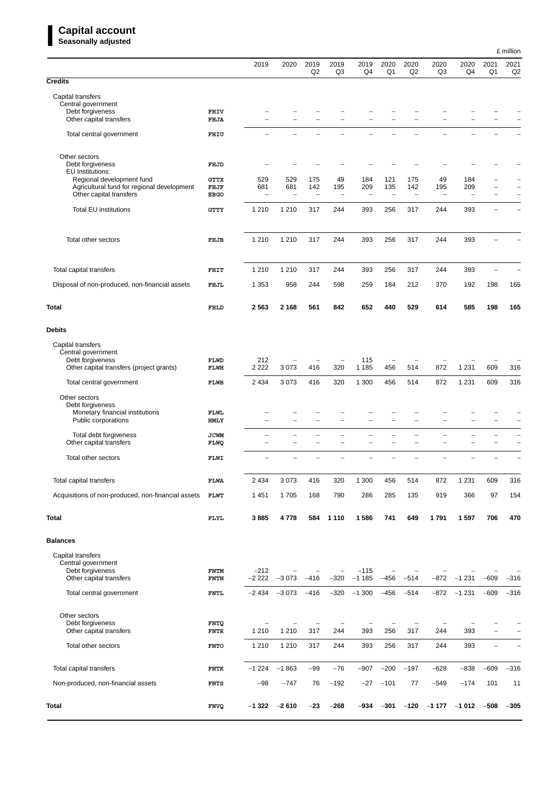## **Capital account**

|                                                                                    |                            | 2019                            | 2020                            | 2019                            | 2019                            | 2019                     | 2020                            | 2020                     | 2020                     | 2020                            | 2021           | £ million<br>2021             |
|------------------------------------------------------------------------------------|----------------------------|---------------------------------|---------------------------------|---------------------------------|---------------------------------|--------------------------|---------------------------------|--------------------------|--------------------------|---------------------------------|----------------|-------------------------------|
| <b>Credits</b>                                                                     |                            |                                 |                                 | Q2                              | Q <sub>3</sub>                  | Q4                       | Q1                              | Q2                       | Q3                       | Q4                              | Q <sub>1</sub> | Q <sub>2</sub>                |
|                                                                                    |                            |                                 |                                 |                                 |                                 |                          |                                 |                          |                          |                                 |                |                               |
| Capital transfers<br>Central government                                            |                            |                                 |                                 |                                 |                                 |                          |                                 |                          |                          |                                 |                |                               |
| Debt forgiveness<br>Other capital transfers                                        | FHIV<br>FHJA               |                                 |                                 |                                 |                                 |                          |                                 |                          |                          |                                 |                |                               |
| Total central government                                                           | FHIU                       |                                 |                                 |                                 |                                 |                          |                                 |                          |                          |                                 |                |                               |
| Other sectors                                                                      |                            |                                 |                                 |                                 |                                 |                          |                                 |                          |                          |                                 |                |                               |
| Debt forgiveness                                                                   | FHJD                       |                                 |                                 |                                 |                                 |                          |                                 |                          |                          |                                 |                |                               |
| EU Institutions:<br>Regional development fund                                      | GTTX                       | 529                             | 529                             | 175                             | 49                              | 184                      | 121                             | 175                      | 49                       | 184                             |                |                               |
| Agricultural fund for regional development<br>Other capital transfers              | FHJF<br><b>EBGO</b>        | 681<br>$\overline{\phantom{0}}$ | 681<br>$\overline{\phantom{0}}$ | 142<br>$\overline{\phantom{0}}$ | 195<br>$\overline{\phantom{0}}$ | 209<br>$\qquad \qquad -$ | 135<br>$\qquad \qquad -$        | 142<br>÷                 | 195<br>$\overline{a}$    | 209<br>$\overline{\phantom{0}}$ | -              | $\overline{\phantom{0}}$<br>- |
| Total EU institutions                                                              | GTTY                       | 1 2 1 0                         | 1 2 1 0                         | 317                             | 244                             | 393                      | 256                             | 317                      | 244                      | 393                             | $\overline{a}$ |                               |
| Total other sectors                                                                | FHJB                       | 1 2 1 0                         | 1 2 1 0                         | 317                             | 244                             | 393                      | 256                             | 317                      | 244                      | 393                             |                |                               |
|                                                                                    |                            |                                 |                                 |                                 |                                 |                          |                                 |                          |                          |                                 |                |                               |
| Total capital transfers                                                            | FHIT                       | 1 2 1 0                         | 1 2 1 0                         | 317                             | 244                             | 393                      | 256                             | 317                      | 244                      | 393                             | L,             |                               |
| Disposal of non-produced, non-financial assets                                     | FHJL                       | 1 3 5 3                         | 958                             | 244                             | 598                             | 259                      | 184                             | 212                      | 370                      | 192                             | 198            | 165                           |
| <b>Total</b>                                                                       | FHLD                       | 2563                            | 2 1 6 8                         | 561                             | 842                             | 652                      | 440                             | 529                      | 614                      | 585                             | 198            | 165                           |
| <b>Debits</b>                                                                      |                            |                                 |                                 |                                 |                                 |                          |                                 |                          |                          |                                 |                |                               |
| Capital transfers                                                                  |                            |                                 |                                 |                                 |                                 |                          |                                 |                          |                          |                                 |                |                               |
| Central government<br>Debt forgiveness<br>Other capital transfers (project grants) | FLWD<br>FLWH               | 212<br>2 2 2 2                  | 3073                            | 416                             | 320                             | 115<br>1 1 8 5           | $\overline{\phantom{a}}$<br>456 | 514                      | 872                      | 1 2 3 1                         | 609            | 316                           |
| Total central government                                                           | FLWB                       | 2 4 3 4                         | 3073                            | 416                             | 320                             | 1 300                    | 456                             | 514                      | 872                      | 1 2 3 1                         | 609            | 316                           |
| Other sectors                                                                      |                            |                                 |                                 |                                 |                                 |                          |                                 |                          |                          |                                 |                |                               |
| Debt forgiveness<br>Monetary financial institutions<br>Public corporations         | FLWL<br><b>HMLY</b>        | $\overline{\phantom{a}}$        | ۳                               | ÷,                              | L.                              | ۰                        | L.                              | ۰                        | L.                       | ۳                               | ۳              | ۰                             |
| Total debt forgiveness<br>Other capital transfers                                  | <b>JCWM</b><br><b>FLWQ</b> |                                 | $\overline{\phantom{0}}$        |                                 | $\overline{\phantom{0}}$        | $\overline{\phantom{0}}$ |                                 | $\overline{\phantom{0}}$ | $\overline{\phantom{0}}$ |                                 |                |                               |
| Total other sectors                                                                | FLWI                       |                                 |                                 |                                 |                                 |                          |                                 |                          |                          |                                 |                |                               |
| Total capital transfers                                                            | FLWA                       | 2 4 3 4                         | 3 0 7 3                         | 416                             | 320                             | 1 300                    | 456                             | 514                      | 872                      | 1 2 3 1                         | 609            | 316                           |
| Acquisitions of non-produced, non-financial assets                                 | FLWT                       | 1 4 5 1                         | 1705                            | 168                             | 790                             | 286                      | 285                             | 135                      | 919                      | 366                             | 97             | 154                           |
| <b>Total</b>                                                                       | FLYL                       | 3885                            | 4778                            | 584                             | 1 1 1 0                         | 1586                     | 741                             | 649                      | 1791                     | 1597                            | 706            | 470                           |
| <b>Balances</b>                                                                    |                            |                                 |                                 |                                 |                                 |                          |                                 |                          |                          |                                 |                |                               |
| Capital transfers                                                                  |                            |                                 |                                 |                                 |                                 |                          |                                 |                          |                          |                                 |                |                               |
| Central government<br>Debt forgiveness                                             | <b>FNTM</b>                | $-212$                          |                                 |                                 | $\overline{\phantom{0}}$        | $-115$                   |                                 |                          |                          |                                 |                |                               |
| Other capital transfers                                                            | <b>FNTN</b>                | $-2222$                         | $-3073$                         | $-416$                          | $-320$                          | $-1185$                  | $-456$                          | $-514$                   | $-872$                   | $-1231$                         | $-609$         | $-316$                        |
| Total central government                                                           | <b>FNTL</b>                | $-2434$                         | $-3073$                         | $-416$                          | $-320$                          | $-1300$                  | $-456$                          | $-514$                   | -872                     | $-1231$                         | $-609$         | $-316$                        |
| Other sectors<br>Debt forgiveness                                                  | <b>FNTQ</b>                |                                 |                                 |                                 |                                 |                          |                                 | $\overline{a}$           |                          |                                 |                |                               |
| Other capital transfers                                                            | <b>FNTR</b>                | 1 2 1 0                         | 1 2 1 0                         | 317                             | 244                             | 393                      | 256                             | 317                      | 244                      | 393                             |                |                               |
| Total other sectors                                                                | <b>FNTO</b>                | 1 2 1 0                         | 1 2 1 0                         | 317                             | 244                             | 393                      | 256                             | 317                      | 244                      | 393                             | $\overline{a}$ |                               |
| Total capital transfers                                                            | <b>FNTK</b>                | $-1224$                         | $-1863$                         | -99                             | $-76$                           | $-907$                   | $-200$                          | $-197$                   | $-628$                   | $-838$                          | $-609$         | $-316$                        |
| Non-produced, non-financial assets                                                 | <b>FNTS</b>                | $-98$                           | $-747$                          | 76                              | $-192$                          | $-27$                    | $-101$                          | 77                       | $-549$                   | $-174$                          | 101            | 11                            |
| Total                                                                              | <b>FNVQ</b>                | $-1322$                         | $-2610$                         | -23                             | $-268$                          | $-934$                   | $-301$                          | $-120$                   | $-1177$                  | $-1012$                         | $-508$         | $-305$                        |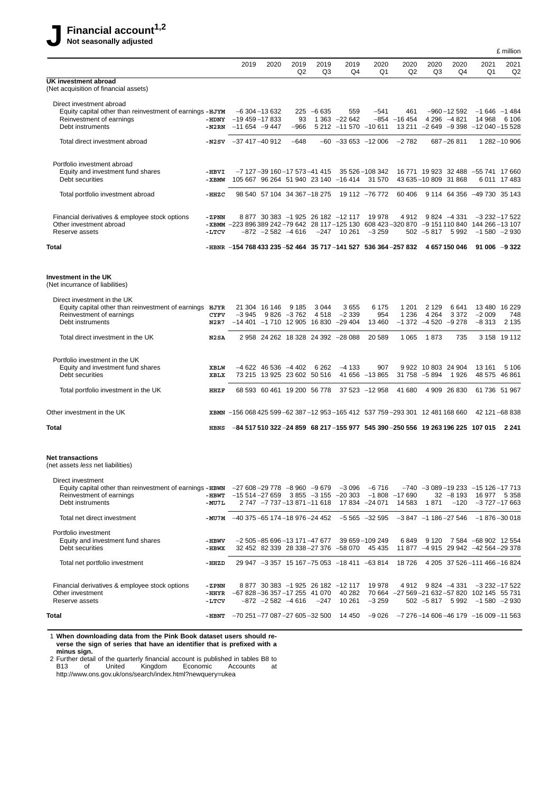|                                                                                                                                                                   |                          |                                                                                               |                                                       |                          |                 |                                                           |                                                                                                                     |                          |                                           |                                |                                                                                   | £ million      |
|-------------------------------------------------------------------------------------------------------------------------------------------------------------------|--------------------------|-----------------------------------------------------------------------------------------------|-------------------------------------------------------|--------------------------|-----------------|-----------------------------------------------------------|---------------------------------------------------------------------------------------------------------------------|--------------------------|-------------------------------------------|--------------------------------|-----------------------------------------------------------------------------------|----------------|
|                                                                                                                                                                   |                          | 2019                                                                                          | 2020                                                  | 2019<br>Q <sub>2</sub>   | 2019<br>Q3      | 2019<br>Q4                                                | 2020<br>Q1                                                                                                          | 2020<br>Q2               | 2020<br>Q3                                | 2020<br>Q4                     | 2021<br>Q1                                                                        | 2021<br>Q2     |
| UK investment abroad<br>(Net acquisition of financial assets)                                                                                                     |                          |                                                                                               |                                                       |                          |                 |                                                           |                                                                                                                     |                          |                                           |                                |                                                                                   |                |
| Direct investment abroad<br>Equity capital other than reinvestment of earnings - HJYM<br>Reinvestment of earnings<br>Debt instruments                             | -HDNY<br>-N2RN           | $-19$ 459 $-17$ 833<br>$-11654 -9447$                                                         | $-6$ 304 $-13$ 632                                    | 93<br>$-966$             | $225 - 6635$    | 559<br>1 363 -22 642<br>5 212 -11 570 -10 611             | $-541$                                                                                                              | 461<br>$-854 - 16454$    |                                           | $-960 - 12592$<br>4 296 -4 821 | $-1646 - 1484$<br>14 968<br>13 211 -2 649 -9 398 -12 040 -15 528                  | 6 106          |
| Total direct investment abroad                                                                                                                                    | -N2SV                    | $-37417 - 40912$                                                                              |                                                       | $-648$                   |                 | $-60$ $-33653$ $-12006$                                   |                                                                                                                     | $-2782$                  |                                           | 687-26811                      |                                                                                   | 1 282 - 10 906 |
| Portfolio investment abroad<br>Equity and investment fund shares<br>Debt securities                                                                               | $-HBVI$<br>- XBMW        |                                                                                               | $-7$ 127 $-39$ 160 $-17$ 573 $-41$ 415                |                          |                 | 105 667 96 264 51 940 23 140 -16 414                      | 35 526 - 108 342<br>31 570                                                                                          |                          | 43 635 - 10 809 31 868                    | 16 771 19 923 32 488           | -55 741 17 660                                                                    | 6 011 17 483   |
| Total portfolio investment abroad                                                                                                                                 | -HHZC                    |                                                                                               | 98 540 57 104 34 367 - 18 275                         |                          |                 |                                                           | 19 112 -76 772                                                                                                      | 60 40 6                  |                                           |                                | 9 114 64 356 -49 730 35 143                                                       |                |
| Financial derivatives & employee stock options<br>Other investment abroad<br>Reserve assets                                                                       | - ZPNN<br>-LTCV          | - XBMM - 223 896 389 242-79 642 28 117-125 130 608 423-320 870 - 9 151 110 840 144 266-13 107 | $-872$ $-2582$ $-4616$                                |                          |                 | 8 877 30 383 -1 925 26 182 -12 117<br>$-247$ 10 261       | 19 978<br>$-3259$                                                                                                   | 4912                     | $502 - 5817$                              | $9824 - 4331$<br>5992          | $-3232 - 17522$<br>$-1580 -2930$                                                  |                |
| <b>Total</b>                                                                                                                                                      |                          | -HBNR -154 768 433 235 -52 464 35 717 -141 527 536 364 -257 832                               |                                                       |                          |                 |                                                           |                                                                                                                     |                          |                                           | 4 657 150 046                  | $91006 - 9322$                                                                    |                |
| Investment in the UK<br>(Net incurrance of liabilities)                                                                                                           |                          |                                                                                               |                                                       |                          |                 |                                                           |                                                                                                                     |                          |                                           |                                |                                                                                   |                |
| Direct investment in the UK<br>Equity capital other than reinvestment of earnings HJYR<br>Reinvestment of earnings<br>Debt instruments                            | <b>CYFV</b><br>N2R7      | -3 945                                                                                        | 21 304 16 146                                         | 9 1 8 5<br>$9826 - 3762$ | 3 0 4 4<br>4518 | 3655<br>$-2339$<br>$-14401 - 1710$ 12 905 16 830 $-29404$ | 6 175<br>954<br>13 4 60                                                                                             | 1 2 0 1<br>1 2 3 6       | 2 1 2 9<br>4 2 6 4<br>$-1372 -4520 -9278$ | 6641<br>3 3 7 2                | 13 480 16 229<br>$-2009$<br>$-8313$                                               | 748<br>2 1 3 5 |
| Total direct investment in the UK                                                                                                                                 | N2SA                     |                                                                                               |                                                       |                          |                 | 2 958 24 262 18 328 24 392 -28 088                        | 20 589                                                                                                              | 1 0 6 5                  | 1873                                      | 735                            |                                                                                   | 3 158 19 112   |
| Portfolio investment in the UK<br>Equity and investment fund shares<br>Debt securities                                                                            | XBLW<br>XBLX             |                                                                                               | $-4622$ 46 536 $-4402$<br>73 215 13 925 23 602 50 516 |                          | 6 2 6 2         | $-4133$                                                   | 907<br>41 656 -13 865                                                                                               |                          | 9 922 10 803 24 904<br>31 758 -5 894      | 1926                           | 13 161<br>48 575 46 861                                                           | 5 1 0 6        |
| Total portfolio investment in the UK                                                                                                                              | HHZF                     |                                                                                               | 68 593 60 461 19 200 56 778                           |                          |                 |                                                           | 37 523 -12 958                                                                                                      | 41 680                   |                                           | 4 909 26 830                   | 61 736 51 967                                                                     |                |
| Other investment in the UK                                                                                                                                        | XBMN                     | $-156068425599-62387-12953-165412537759-29330112481168660$                                    |                                                       |                          |                 |                                                           |                                                                                                                     |                          |                                           |                                | 42 121 -68 838                                                                    |                |
| Total                                                                                                                                                             | <b>HBNS</b>              |                                                                                               |                                                       |                          |                 |                                                           | $-84\,517\,510\,322$ $-24\,859\quad68\,217$ $-155\,977\quad545\,390$ $-250\,556\quad19\,263\,196\,225\quad107\,015$ |                          |                                           |                                |                                                                                   | 2 2 4 1        |
| <b>Net transactions</b><br>(net assets less net liabilities)                                                                                                      |                          |                                                                                               |                                                       |                          |                 |                                                           |                                                                                                                     |                          |                                           |                                |                                                                                   |                |
| Direct investment<br>Equity capital other than reinvestment of earnings - $H B W N$ -27 608 -29 778 -8 960 -9 679<br>Reinvestment of earnings<br>Debt instruments | -HBWT<br>-MU7L           | –15 514 –27 659                                                                               | 2 747 -7 737 -13 871 -11 618                          |                          |                 | $-3096$<br>$3855 - 3155 - 20303$                          | -6 716<br>17 834 -24 071                                                                                            | $-1808 -17690$<br>14 583 | 1871                                      | $32 - 8193$<br>$-120$          | $-740 - 3089 - 19233 - 15126 - 17713$<br>16 977 5 358<br>$-3727 - 17663$          |                |
| Total net direct investment                                                                                                                                       |                          | $-MU7M$ $-40$ 375 - 65 174 - 18 976 - 24 452                                                  |                                                       |                          |                 |                                                           | $-5565 -32595$                                                                                                      |                          |                                           | $-3847 -1186 -27546$           | $-1876 - 30018$                                                                   |                |
| Portfolio investment<br>Equity and investment fund shares<br>Debt securities                                                                                      | -HBWV<br>- HBWX          |                                                                                               | -2 505 -85 696 -13 171 -47 677                        |                          |                 | 32 452 82 339 28 338 - 27 376 - 58 070                    | 39 659 - 109 249<br>45 435                                                                                          | 6849                     | 9 1 2 0                                   |                                | 7 584 -68 902 12 554<br>11 877 -4 915 29 942 -42 564 -29 378                      |                |
| Total net portfolio investment                                                                                                                                    | -HHZD                    |                                                                                               |                                                       |                          |                 | 29 947 -3 357 15 167 -75 053 -18 411 -63 814              |                                                                                                                     |                          |                                           |                                | 18 726 4 205 37 526 - 111 466 - 16 824                                            |                |
| Financial derivatives & employee stock options<br>Other investment<br>Reserve assets                                                                              | - ZPNN<br>-HHYR<br>-LTCV | $-67828 - 36357 - 1725541070$                                                                 | $-872$ $-2582$ $-4616$                                |                          | $-247$          | 8 877 30 383 -1 925 26 182 -12 117<br>40 282<br>10 261    | 19 978<br>$-3259$                                                                                                   |                          | 4 912 9 824 -4 331                        | $502 - 5817$ 5 992             | $-3232 - 17522$<br>70 664 -27 569 -21 632 -57 820 102 145 55 731<br>$-1580 -2930$ |                |
| Total                                                                                                                                                             |                          | $-HBNT$ -70 251 -77 087 -27 605 -32 500                                                       |                                                       |                          |                 | 14 450                                                    | $-9026$                                                                                                             |                          |                                           |                                | $-7276 - 14606 - 46179 - 16009 - 11563$                                           |                |

1 **When downloading data from the Pink Book dataset users should reverse the sign of series that have an identifier that is prefixed with a minus sign.**

2 Further detail of the quarterly financial account is published in tables B8 to B13 of United Kingdom Economic Accounts at http://www.ons.gov.uk/ons/search/index.html?newquery=ukea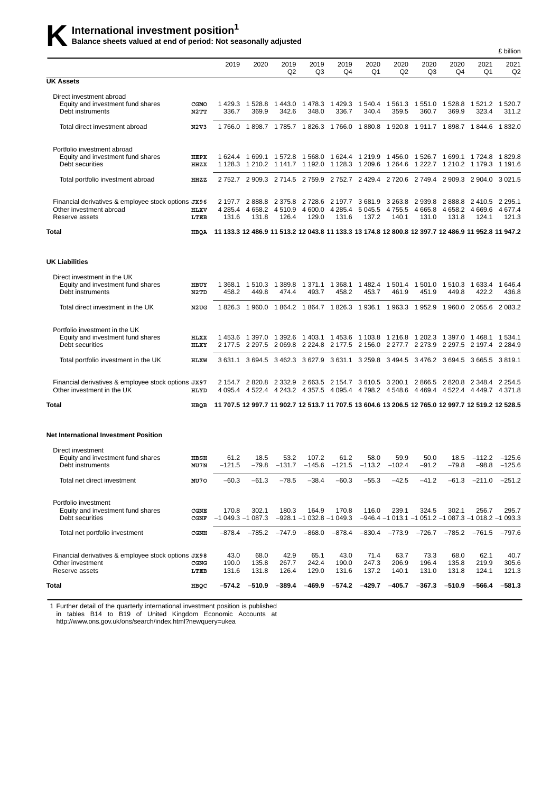# **K** International investment position<sup>1</sup><br>Balance sheets valued at end of period: Not seasonally adjusted

|                                                                                                  |              |                                                                                                    |                              |                             |                                                               |                                     |                               |                             |                                      |                               |                                                                                                                            | £ billion              |
|--------------------------------------------------------------------------------------------------|--------------|----------------------------------------------------------------------------------------------------|------------------------------|-----------------------------|---------------------------------------------------------------|-------------------------------------|-------------------------------|-----------------------------|--------------------------------------|-------------------------------|----------------------------------------------------------------------------------------------------------------------------|------------------------|
|                                                                                                  |              | 2019                                                                                               | 2020                         | 2019<br>Q <sub>2</sub>      | 2019<br>Q3                                                    | 2019<br>Q4                          | 2020<br>Q1                    | 2020<br>Q2                  | 2020<br>Q3                           | 2020<br>Q4                    | 2021<br>Q1                                                                                                                 | 2021<br>Q <sub>2</sub> |
| <b>UK Assets</b>                                                                                 |              |                                                                                                    |                              |                             |                                                               |                                     |                               |                             |                                      |                               |                                                                                                                            |                        |
| Direct investment abroad<br>Equity and investment fund shares<br>Debt instruments                | CGMO<br>N2TT | 1429.3<br>336.7                                                                                    | 1 528.8<br>369.9             | 342.6                       | 1443.0 1478.3<br>348.0                                        | 1 429.3<br>336.7                    | 340.4                         | 1 540.4 1 561.3<br>359.5    | 1 551.0 1 528.8<br>360.7             | 369.9                         | 1 521.2 1 520.7<br>323.4                                                                                                   | 311.2                  |
| Total direct investment abroad                                                                   | N2V3         |                                                                                                    |                              |                             |                                                               |                                     |                               |                             |                                      |                               | 1766.0 1898.7 1785.7 1826.3 1766.0 1880.8 1920.8 1911.7 1898.7 1844.6 1832.0                                               |                        |
| Portfolio investment abroad<br>Equity and investment fund shares<br>Debt securities              | HEPX<br>HHZX | 1 624.4<br>1 1 2 8 . 3                                                                             | 1 699.1 1 572.8              |                             | 1 568.0                                                       | 1 624.4 1 219.9                     |                               |                             |                                      |                               | 1 456.0 1 526.7 1 699.1 1 724.8 1 829.8<br>1 210.2 1 141.7 1 192.0 1 128.3 1 209.6 1 264.6 1 222.7 1 210.2 1 179.3 1 191.6 |                        |
| Total portfolio investment abroad                                                                | HHZZ         |                                                                                                    |                              |                             |                                                               |                                     |                               |                             |                                      |                               | 2752.7 2909.3 2714.5 2759.9 2752.7 2429.4 2720.6 2749.4 2909.3 2904.0 3021.5                                               |                        |
| Financial derivatives & employee stock options JX96<br>Other investment abroad<br>Reserve assets | HLXV<br>LTEB | 2 197.7<br>4 2 8 5 . 4<br>131.6                                                                    | 2888.8<br>4 6 5 8.2<br>131.8 | 2 375.8<br>4 510.9<br>126.4 | 4 600.0<br>129.0                                              | 2 728.6 2 197.7<br>4 285.4<br>131.6 | 3681.9<br>5 0 4 5 .5<br>137.2 | 3 263.8<br>4 755.5<br>140.1 | 2 939.8<br>4 665.8<br>131.0          | 2888.8<br>4 6 5 8 .2<br>131.8 | 2 410.5 2 295.1<br>4 669 6<br>124.1                                                                                        | 4 677.4<br>121.3       |
| Total                                                                                            | HBQA         | 11 133.3 12 486.9 11 513.2 12 043.8 11 133.3 13 174.8 12 800.8 12 397.7 12 486.9 11 952.8 11 947.2 |                              |                             |                                                               |                                     |                               |                             |                                      |                               |                                                                                                                            |                        |
| <b>UK Liabilities</b>                                                                            |              |                                                                                                    |                              |                             |                                                               |                                     |                               |                             |                                      |                               |                                                                                                                            |                        |
| Direct investment in the UK<br>Equity and investment fund shares<br>Debt instruments             | HBUY<br>N2TD | 1 368.1<br>458.2                                                                                   | 1 510.3 1 389.8<br>449.8     | 474.4                       | 1 371.1<br>493.7                                              | 1 368.1<br>458.2                    | 453.7                         | 461.9                       | 1482.4 1501.4 1501.0 1510.3<br>451.9 | 449.8                         | 1 633.4 1 646.4<br>422.2                                                                                                   | 436.8                  |
| Total direct investment in the UK                                                                | N2UG         |                                                                                                    |                              |                             |                                                               |                                     |                               |                             |                                      |                               | 1826.3 1960.0 1864.2 1864.7 1826.3 1936.1 1963.3 1952.9 1960.0 2055.6 2083.2                                               |                        |
| Portfolio investment in the UK<br>Equity and investment fund shares<br>Debt securities           | HLXX<br>HLXY | 1453.6                                                                                             | 1 397.0                      |                             | 1 392.6 1 403.1 1 453.6 1 103.8 1 216.8 1 202.3               |                                     |                               |                             |                                      |                               | 2 177.5 2 297.5 2 069.8 2 224.8 2 177.5 2 156.0 2 277.7 2 273.9 2 297.5 2 197.4 2 284.9                                    |                        |
| Total portfolio investment in the UK                                                             | HLXW         | 3 631.1                                                                                            |                              |                             | 3 694.5 3 462.3 3 627.9 3 631.1 3 259.8                       |                                     |                               |                             |                                      |                               | 3494.5 3476.2 3694.5 3665.5 3819.1                                                                                         |                        |
| Financial derivatives & employee stock options JX97<br>Other investment in the UK                | HLYD         |                                                                                                    |                              |                             | 2 154.7 2 820.8 2 332.9 2 663.5 2 154.7 3 610.5               |                                     |                               |                             | 3 200.1 2 866.5 2 820.8              |                               | 2 348.4<br>4 095.4 4 522.4 4 243.2 4 357.5 4 095.4 4 798.2 4 548.6 4 469.4 4 522.4 4 449.7 4 371.8                         | 2 2 5 4 . 5            |
| Total                                                                                            | HBQB         |                                                                                                    |                              |                             |                                                               |                                     |                               |                             |                                      |                               | 11 707.5 12 997.7 11 902.7 12 513.7 11 707.5 13 604.6 13 206.5 12 765.0 12 997.7 12 519.2 12 528.5                         |                        |
| <b>Net International Investment Position</b>                                                     |              |                                                                                                    |                              |                             |                                                               |                                     |                               |                             |                                      |                               |                                                                                                                            |                        |
| Direct investment<br>Equity and investment fund shares<br>Debt instruments                       | HBSH<br>MU7N | 61.2<br>-121.5                                                                                     | 18.5                         | 53.2                        | 107.2<br>$-79.8$ $-131.7$ $-145.6$ $-121.5$ $-113.2$ $-102.4$ | 61.2                                | 58.0                          | 59.9                        | 50.0<br>$-91.2$                      | 18.5                          | $-112.2$ $-125.6$<br>$-79.8$ $-98.8$ $-125.6$                                                                              |                        |
| Total net direct investment                                                                      | MU70         | $-60.3$                                                                                            | -61.3                        | $-78.5$                     | $-38.4$                                                       | $-60.3$                             | $-55.3$                       | $-42.5$                     | $-41.2$                              | $-61.3$                       | $-211.0$                                                                                                                   | $-251.2$               |
| Portfolio investment<br>Equity and investment fund shares<br>Debt securities                     | CGNE<br>CGNF | 170.8<br>$-1049.3 - 1087.3$                                                                        | 302.1                        | 180.3                       | 164.9<br>$-928.1 - 1032.8 - 1049.3$                           | 170.8                               | 116.0                         | 239.1                       | 324.5                                | 302.1                         | 256.7<br>$-946.4$ -1 013.1 -1 051.2 -1 087.3 -1 018.2 -1 093.3                                                             | 295.7                  |
| Total net portfolio investment                                                                   | CGNH         | –878.4                                                                                             | $-785.2$                     | $-747.9$                    | $-868.0$                                                      | $-878.4$                            |                               | $-830.4$ $-773.9$           | $-726.7$                             | $-785.2$                      | $-761.5$                                                                                                                   | $-797.6$               |
| Financial derivatives & employee stock options JX98<br>Other investment<br>Reserve assets        | CGNG<br>LTEB | 43.0<br>190.0<br>131.6                                                                             | 68.0<br>135.8<br>131.8       | 42.9<br>267.7<br>126.4      | 65.1<br>242.4<br>129.0                                        | 43.0<br>190.0<br>131.6              | 71.4<br>247.3<br>137.2        | 63.7<br>206.9<br>140.1      | 73.3<br>196.4<br>131.0               | 68.0<br>135.8<br>131.8        | 62.1<br>219.9<br>124.1                                                                                                     | 40.7<br>305.6<br>121.3 |
| Total                                                                                            | HBQC         | -574.2                                                                                             | $-510.9$                     | $-389.4$                    | $-469.9$                                                      | $-574.2$                            | $-429.7$                      | $-405.7$                    | $-367.3$                             | $-510.9$                      | $-566.4$                                                                                                                   | $-581.3$               |

1 Further detail of the quarterly international investment position is published

in tables B14 to B19 of United Kingdom Economic Accounts at

http://www.ons.gov.uk/ons/search/index.html?newquery=ukea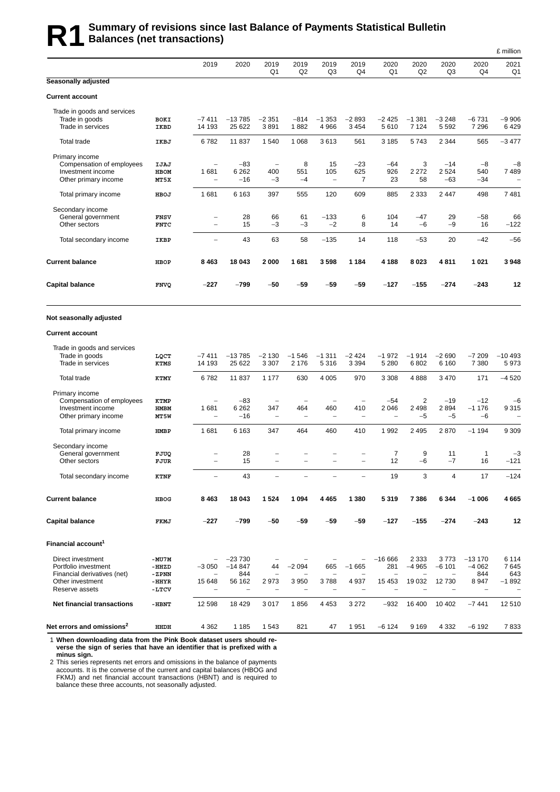## **R1** Summary of revisions since last Balance of Payments Statistical Bulletin<br>R1 Balances (net transactions) **Balances (net transactions)**

|                                                                                                                |                                             |                                                                    |                                       |                                                             |                                                             |                                      |                                                             |                                              |                               |                                |                                    | £ million                         |
|----------------------------------------------------------------------------------------------------------------|---------------------------------------------|--------------------------------------------------------------------|---------------------------------------|-------------------------------------------------------------|-------------------------------------------------------------|--------------------------------------|-------------------------------------------------------------|----------------------------------------------|-------------------------------|--------------------------------|------------------------------------|-----------------------------------|
|                                                                                                                |                                             | 2019                                                               | 2020                                  | 2019<br>Q1                                                  | 2019<br>Q <sub>2</sub>                                      | 2019<br>Q3                           | 2019<br>Q4                                                  | 2020<br>Q1                                   | 2020<br>Q2                    | 2020<br>Q3                     | 2020<br>Q4                         | 2021<br>Q1                        |
| Seasonally adjusted                                                                                            |                                             |                                                                    |                                       |                                                             |                                                             |                                      |                                                             |                                              |                               |                                |                                    |                                   |
| <b>Current account</b>                                                                                         |                                             |                                                                    |                                       |                                                             |                                                             |                                      |                                                             |                                              |                               |                                |                                    |                                   |
| Trade in goods and services<br>Trade in goods<br>Trade in services                                             | <b>BOKI</b><br>IKBD                         | $-7411$<br>14 193                                                  | $-13785$<br>25 622                    | $-2351$<br>3891                                             | $-814$<br>1882                                              | $-1353$<br>4 9 6 6                   | $-2893$<br>3 4 5 4                                          | $-2425$<br>5610                              | $-1381$<br>7 1 2 4            | $-3248$<br>5 5 9 2             | $-6731$<br>7 2 9 6                 | $-9906$<br>6429                   |
| Total trade                                                                                                    | IKBJ                                        | 6782                                                               | 11 837                                | 1540                                                        | 1 0 6 8                                                     | 3613                                 | 561                                                         | 3 1 8 5                                      | 5743                          | 2 3 4 4                        | 565                                | $-3477$                           |
| Primary income<br>Compensation of employees<br>Investment income<br>Other primary income                       | IJAJ<br><b>HBOM</b><br>MT5X                 | $\overline{\phantom{a}}$<br>1681<br>$\overline{\phantom{0}}$       | $-83$<br>6 2 6 2<br>$-16$             | $\overline{\phantom{a}}$<br>400<br>$-3$                     | 8<br>551<br>$-4$                                            | 15<br>105<br>$\qquad \qquad -$       | $-23$<br>625<br>7                                           | $-64$<br>926<br>23                           | 3<br>2 2 7 2<br>58            | $-14$<br>2 5 24<br>$-63$       | $-8$<br>540<br>$-34$               | $-8$<br>7489                      |
| Total primary income                                                                                           | HBOJ                                        | 1681                                                               | 6 1 6 3                               | 397                                                         | 555                                                         | 120                                  | 609                                                         | 885                                          | 2 3 3 3                       | 2447                           | 498                                | 7481                              |
| Secondary income<br>General government<br>Other sectors                                                        | <b>FNSV</b><br><b>FNTC</b>                  | $\overline{\phantom{m}}$<br>$\overline{\phantom{0}}$               | 28<br>15                              | 66<br>$-3$                                                  | 61<br>$-3$                                                  | $-133$<br>$-2$                       | 6<br>8                                                      | 104<br>14                                    | -47<br>$-6$                   | 29<br>$-9$                     | -58<br>16                          | 66<br>$-122$                      |
| Total secondary income                                                                                         | IKBP                                        | $\overline{\phantom{0}}$                                           | 43                                    | 63                                                          | 58                                                          | $-135$                               | 14                                                          | 118                                          | $-53$                         | 20                             | $-42$                              | $-56$                             |
| <b>Current balance</b>                                                                                         | <b>HBOP</b>                                 | 8463                                                               | 18 043                                | 2000                                                        | 1681                                                        | 3598                                 | 1 1 8 4                                                     | 4 188                                        | 8023                          | 4811                           | 1 0 2 1                            | 3948                              |
| <b>Capital balance</b>                                                                                         | <b>FNVQ</b>                                 | -227                                                               | -799                                  | $-50$                                                       | $-59$                                                       | -59                                  | -59                                                         | $-127$                                       | $-155$                        | -274                           | $-243$                             | 12                                |
| Not seasonally adjusted                                                                                        |                                             |                                                                    |                                       |                                                             |                                                             |                                      |                                                             |                                              |                               |                                |                                    |                                   |
| <b>Current account</b>                                                                                         |                                             |                                                                    |                                       |                                                             |                                                             |                                      |                                                             |                                              |                               |                                |                                    |                                   |
| Trade in goods and services<br>Trade in goods<br>Trade in services                                             | LQCT<br>KTMS                                | $-7411$<br>14 193                                                  | $-13785$<br>25 622                    | $-2130$<br>3 3 0 7                                          | $-1546$<br>2 176                                            | $-1311$<br>5 3 1 6                   | $-2424$<br>3 3 9 4                                          | $-1972$<br>5 2 8 0                           | $-1914$<br>6802               | $-2690$<br>6 1 6 0             | $-7209$<br>7 3 8 0                 | $-10493$<br>5973                  |
| Total trade                                                                                                    | KTMY                                        | 6782                                                               | 11 837                                | 1 1 7 7                                                     | 630                                                         | 4 0 0 5                              | 970                                                         | 3 3 0 8                                      | 4888                          | 3 4 7 0                        | 171                                | $-4520$                           |
| Primary income<br>Compensation of employees<br>Investment income<br>Other primary income                       | KTMP<br><b>HMBM</b><br>MT5W                 | $\overline{\phantom{0}}$<br>1681<br>$\overline{\phantom{a}}$       | $-83$<br>6 2 6 2<br>$-16$             | $\overline{\phantom{a}}$<br>347<br>$\overline{\phantom{0}}$ | $\overline{\phantom{a}}$<br>464<br>$\overline{\phantom{a}}$ | -<br>460<br>$\overline{\phantom{a}}$ | $\overline{\phantom{0}}$<br>410<br>$\overline{\phantom{a}}$ | $-54$<br>2 0 4 6<br>$\overline{\phantom{0}}$ | 2<br>2498<br>$-5$             | $-19$<br>2894<br>-5            | $-12$<br>$-1176$<br>$-6$           | $-6$<br>9315                      |
| Total primary income                                                                                           | <b>HMBP</b>                                 | 1681                                                               | 6 1 6 3                               | 347                                                         | 464                                                         | 460                                  | 410                                                         | 1 9 9 2                                      | 2 4 9 5                       | 2870                           | $-1194$                            | 9 3 0 9                           |
| Secondary income<br>General government<br>Other sectors                                                        | FJUQ<br>FJUR                                | $\overline{\phantom{0}}$                                           | 28<br>15                              | $\overline{\phantom{0}}$                                    |                                                             |                                      |                                                             | $\overline{7}$<br>12                         | 9<br>$-6$                     | 11<br>$-7$                     | $\mathbf{1}$<br>16                 | $-3$<br>$-121$                    |
| Total secondary income                                                                                         | KTNF                                        |                                                                    | 43                                    |                                                             |                                                             |                                      |                                                             | 19                                           | 3                             | 4                              | 17                                 | $-124$                            |
| <b>Current balance</b>                                                                                         | HBOG                                        | 8463                                                               | 18 043                                | 1524                                                        | 1 0 9 4                                                     | 4 4 6 5                              | 1 3 8 0                                                     | 5319                                         | 7386                          | 6 3 4 4                        | $-1006$                            | 4 665                             |
| <b>Capital balance</b>                                                                                         | FKMJ                                        | $-227$                                                             | $-799$                                | $-50$                                                       | $-59$                                                       | $-59$                                | $-59$                                                       | $-127$                                       | $-155$                        | $-274$                         | $-243$                             | 12                                |
| Financial account <sup>1</sup>                                                                                 |                                             |                                                                    |                                       |                                                             |                                                             |                                      |                                                             |                                              |                               |                                |                                    |                                   |
| Direct investment<br>Portfolio investment<br>Financial derivatives (net)<br>Other investment<br>Reserve assets | -MU7M<br>-HHZD<br>-ZPNN<br>$-HHYR$<br>-LTCV | $\qquad \qquad -$<br>$-3050$<br>$\overline{\phantom{0}}$<br>15 648 | $-23730$<br>$-14847$<br>844<br>56 162 | 44<br>2973                                                  | $-2094$<br>3 9 5 0                                          | 665<br>3788                          | $\overline{\phantom{0}}$<br>$-1665$<br>4937                 | $-16666$<br>281<br>L.<br>15 4 53             | 2 3 3 3<br>$-4965$<br>19 0 32 | 3773<br>$-6101$<br>۳<br>12 730 | $-13170$<br>$-4062$<br>844<br>8947 | 6 1 1 4<br>7645<br>643<br>$-1892$ |
| <b>Net financial transactions</b>                                                                              | -HBNT                                       | 12 598                                                             | 18 4 29                               | 3017                                                        | 1856                                                        | 4 4 5 3                              | 3 2 7 2                                                     | $-932$                                       | 16 400                        | 10 402                         | $-7441$                            | 12510                             |
| Net errors and omissions <sup>2</sup>                                                                          | HHDH                                        | 4 3 6 2                                                            | 1 1 8 5                               | 1 5 4 3                                                     | 821                                                         | 47                                   | 1951                                                        | $-6124$                                      | 9 1 6 9                       | 4 3 3 2                        | $-6192$                            | 7833                              |

1 **When downloading data from the Pink Book dataset users should reverse the sign of series that have an identifier that is prefixed with a minus sign.**

2 This series represents net errors and omissions in the balance of payments accounts. It is the converse of the current and capital balances (HBOG and FKMJ) and net financial account transactions (HBNT) and is required to balance these three accounts, not seasonally adjusted.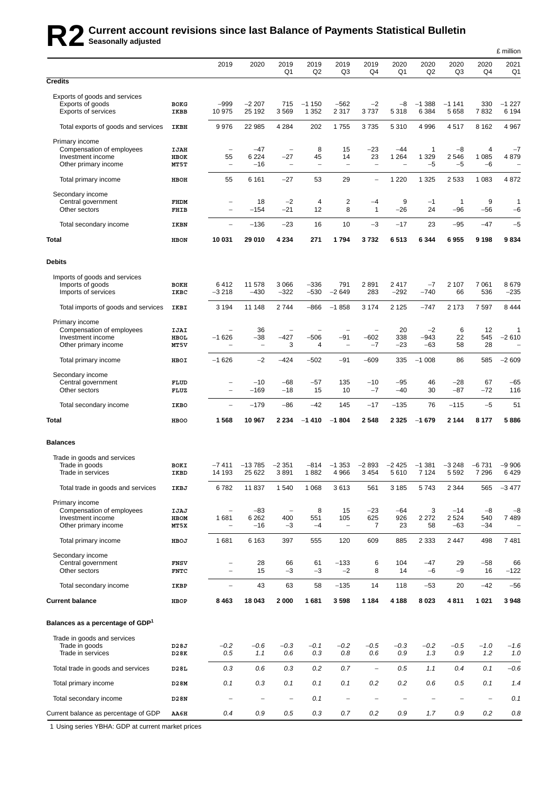# **R2 Current account revisions since last Balance of Payments Statistical Bulletin Seasonally adjusted**

|                                                                                          |                             |                                                                 |                                |                                                        |                              |                                   |                                            |                                       |                         |                           |                      | £ million          |
|------------------------------------------------------------------------------------------|-----------------------------|-----------------------------------------------------------------|--------------------------------|--------------------------------------------------------|------------------------------|-----------------------------------|--------------------------------------------|---------------------------------------|-------------------------|---------------------------|----------------------|--------------------|
|                                                                                          |                             | 2019                                                            | 2020                           | 2019<br>Q1                                             | 2019<br>Q2                   | 2019<br>Q3                        | 2019<br>Q4                                 | 2020<br>Q1                            | 2020<br>Q2              | 2020<br>Q3                | 2020<br>Q4           | 2021<br>Q1         |
| <b>Credits</b>                                                                           |                             |                                                                 |                                |                                                        |                              |                                   |                                            |                                       |                         |                           |                      |                    |
| Exports of goods and services<br>Exports of goods<br><b>Exports of services</b>          | <b>BOKG</b><br>IKBB         | $-999$<br>10 975                                                | $-2207$<br>25 192              | 715<br>3569                                            | $-1150$<br>1 3 5 2           | $-562$<br>2 3 1 7                 | $-2$<br>3737                               | $-8$<br>5 3 1 8                       | $-1.388$<br>6 3 8 4     | $-11141$<br>5 6 5 8       | 330<br>7832          | $-1227$<br>6 1 9 4 |
| Total exports of goods and services                                                      | IKBH                        | 9976                                                            | 22 985                         | 4 2 8 4                                                | 202                          | 1755                              | 3735                                       | 5 3 1 0                               | 4 9 9 6                 | 4517                      | 8 1 6 2              | 4967               |
| Primary income<br>Compensation of employees<br>Investment income<br>Other primary income | <b>IJAH</b><br>HBOK<br>MT5T | ÷,<br>55<br>$\qquad \qquad -$                                   | $-47$<br>6 2 2 4<br>$-16$      | $\overline{\phantom{a}}$<br>$-27$<br>$\qquad \qquad -$ | 8<br>45<br>$\qquad \qquad -$ | 15<br>14<br>$\qquad \qquad -$     | -23<br>23<br>$\overline{\phantom{0}}$      | $-44$<br>1 2 6 4<br>$\qquad \qquad -$ | 1<br>1 3 2 9<br>$-5$    | $-8$<br>2546<br>$-5$      | 4<br>1 0 8 5<br>$-6$ | $-7$<br>4879       |
| Total primary income                                                                     | HBOH                        | 55                                                              | 6 1 6 1                        | $-27$                                                  | 53                           | 29                                | $\overline{\phantom{0}}$                   | 1 2 2 0                               | 1 3 2 5                 | 2 5 3 3                   | 1 0 8 3              | 4872               |
| Secondary income<br>Central government<br>Other sectors                                  | FHDM<br>FHIB                | -<br>$\overline{\phantom{0}}$                                   | 18<br>$-154$                   | $-2$<br>$-21$                                          | 4<br>12                      | 2<br>8                            | $-4$<br>$\mathbf{1}$                       | 9<br>$-26$                            | $-1$<br>24              | 1<br>$-96$                | 9<br>$-56$           | 1<br>$-6$          |
| Total secondary income                                                                   | IKBN                        | $\overline{\phantom{0}}$                                        | $-136$                         | $-23$                                                  | 16                           | 10                                | $-3$                                       | $-17$                                 | 23                      | $-95$                     | $-47$                | $-5$               |
| Total                                                                                    | <b>HBON</b>                 | 10 031                                                          | 29 010                         | 4 2 3 4                                                | 271                          | 1794                              | 3732                                       | 6513                                  | 6 3 4 4                 | 6955                      | 9 1 9 8              | 9834               |
| <b>Debits</b>                                                                            |                             |                                                                 |                                |                                                        |                              |                                   |                                            |                                       |                         |                           |                      |                    |
| Imports of goods and services<br>Imports of goods<br>Imports of services                 | BOKH<br>IKBC                | 6412<br>$-3218$                                                 | 11 578<br>$-430$               | 3066<br>$-322$                                         | $-336$<br>$-530$             | 791<br>$-2649$                    | 2891<br>283                                | 2417<br>$-292$                        | $-7$<br>$-740$          | 2 107<br>66               | 7061<br>536          | 8679<br>$-235$     |
| Total imports of goods and services                                                      | IKBI                        | 3 1 9 4                                                         | 11 148                         | 2744                                                   | $-866$                       | $-1858$                           | 3 1 7 4                                    | 2 1 2 5                               | $-747$                  | 2 1 7 3                   | 7597                 | 8 4 4 4            |
| Primary income<br>Compensation of employees<br>Investment income<br>Other primary income | IJAI<br><b>HBOL</b><br>MT5V | $\overline{\phantom{0}}$<br>$-1626$<br>$\overline{\phantom{0}}$ | 36<br>-38<br>$\qquad \qquad -$ | $\overline{a}$<br>$-427$<br>3                          | $-506$<br>4                  | $-91$<br>$\overline{\phantom{0}}$ | $\overline{\phantom{a}}$<br>$-602$<br>$-7$ | 20<br>338<br>$-23$                    | $-2$<br>$-943$<br>$-63$ | 6<br>22<br>58             | 12<br>545<br>28      | 1<br>$-2610$       |
| Total primary income                                                                     | HBOI                        | $-1626$                                                         | $-2$                           | $-424$                                                 | $-502$                       | $-91$                             | -609                                       | 335                                   | $-1008$                 | 86                        | 585                  | $-2609$            |
| Secondary income<br>Central government<br>Other sectors                                  | FLUD<br>FLUZ                | -<br>$\overline{\phantom{0}}$                                   | $-10$<br>$-169$                | $-68$<br>$-18$                                         | $-57$<br>15                  | 135<br>10                         | $-10$<br>$-7$                              | $-95$<br>$-40$                        | 46<br>30                | $-28$<br>$-87$            | 67<br>$-72$          | $-65$<br>116       |
| Total secondary income                                                                   | IKBO                        | L.                                                              | $-179$                         | $-86$                                                  | $-42$                        | 145                               | $-17$                                      | $-135$                                | 76                      | $-115$                    | $-5$                 | 51                 |
| Total                                                                                    | <b>HBOO</b>                 | 1568                                                            | 10 967                         | 2 2 3 4                                                | $-1410$                      | $-1804$                           | 2548                                       | 2 3 2 5                               | $-1679$                 | 2 1 4 4                   | 8 1 7 7              | 5886               |
| <b>Balances</b>                                                                          |                             |                                                                 |                                |                                                        |                              |                                   |                                            |                                       |                         |                           |                      |                    |
| Trade in goods and services<br>Trade in goods<br>Trade in services                       | BOKI<br>IKBD                | $-7411$<br>14 193                                               | $-13785$<br>25 622             | $-2351$<br>3891                                        | -814<br>1 882                | $-1353$<br>4 966                  | $-2893$<br>3 454                           | -2 425<br>5610                        | -1 381<br>7124          | $-3248$<br>5 592          | -6 731<br>7296       | $-9906$<br>6 429   |
| Total trade in goods and services                                                        | IKBJ                        | 6782                                                            | 11 837                         | 1540                                                   | 1 0 6 8                      | 3613                              | 561                                        | 3 1 8 5                               | 5743                    | 2 3 4 4                   | 565                  | $-3477$            |
| Primary income<br>Compensation of employees<br>Investment income<br>Other primary income | IJAJ<br>HBOM<br>MT5X        | $\overline{\phantom{0}}$<br>1681<br>$\qquad \qquad -$           | $-83$<br>6 2 6 2<br>$-16$      | $\overline{\phantom{0}}$<br>400<br>$-3$                | 8<br>551<br>$-4$             | 15<br>105<br>$\qquad \qquad -$    | -23<br>625<br>7                            | $-64$<br>926<br>23                    | 3<br>2 2 7 2<br>58      | $-14$<br>2 5 2 4<br>$-63$ | $-8$<br>540<br>$-34$ | $-8$<br>7489       |
| Total primary income                                                                     | HBOJ                        | 1681                                                            | 6 1 6 3                        | 397                                                    | 555                          | 120                               | 609                                        | 885                                   | 2 3 3 3                 | 2 4 4 7                   | 498                  | 7481               |
| Secondary income<br>Central government<br>Other sectors                                  | <b>FNSV</b><br><b>FNTC</b>  | -<br>$\qquad \qquad -$                                          | 28<br>15                       | 66<br>$-3$                                             | 61<br>$-3$                   | $-133$<br>$-2$                    | 6<br>8                                     | 104<br>14                             | $-47$<br>$-6$           | 29<br>$-9$                | $-58$<br>16          | 66<br>$-122$       |
| Total secondary income                                                                   | IKBP                        | $\overline{\phantom{0}}$                                        | 43                             | 63                                                     | 58                           | $-135$                            | 14                                         | 118                                   | $-53$                   | 20                        | $-42$                | $-56$              |
| <b>Current balance</b>                                                                   | HBOP                        | 8463                                                            | 18 043                         | 2000                                                   | 1681                         | 3598                              | 1 1 8 4                                    | 4 1 8 8                               | 8 0 2 3                 | 4811                      | 1 0 2 1              | 3948               |
| Balances as a percentage of GDP <sup>1</sup>                                             |                             |                                                                 |                                |                                                        |                              |                                   |                                            |                                       |                         |                           |                      |                    |
| Trade in goods and services<br>Trade in goods<br>Trade in services                       | D28J<br>D28K                | $-0.2$<br>0.5                                                   | $-0.6$<br>1.1                  | $-0.3$<br>0.6                                          | $-0.1$<br>0.3                | $-0.2$<br>0.8                     | $-0.5$<br>0.6                              | $-0.3$<br>0.9                         | $-0.2$<br>1.3           | $-0.5$<br>$0.9\,$         | $-1.0$<br>1.2        | $-1.6$<br>1.0      |
| Total trade in goods and services                                                        | D28L                        | 0.3                                                             | 0.6                            | 0.3                                                    | 0.2                          | 0.7                               | $\qquad \qquad -$                          | 0.5                                   | 1.1                     | 0.4                       | 0.1                  | $-0.6$             |
| Total primary income                                                                     | D28M                        | 0.1                                                             | 0.3                            | 0.1                                                    | 0.1                          | 0.1                               | 0.2                                        | 0.2                                   | 0.6                     | 0.5                       | 0.1                  | 1.4                |
| Total secondary income                                                                   | D28N                        | ÷                                                               |                                | $\overline{\phantom{0}}$                               | 0.1                          |                                   |                                            |                                       |                         |                           |                      | 0.1                |
| Current balance as percentage of GDP                                                     | AA6H                        | 0.4                                                             | 0.9                            | 0.5                                                    | 0.3                          | 0.7                               | 0.2                                        | 0.9                                   | 1.7                     | 0.9                       | 0.2                  | 0.8                |

1 Using series YBHA: GDP at current market prices